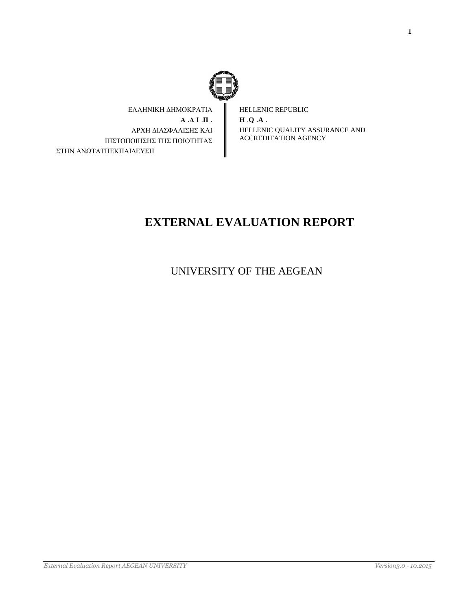

ΕΛΛΗΝΙΚΗ ΔΗΜΟΚΡΑΤΙΑ **Α** .**Δ Ι** .**Π** . ΑΡΧΗ ΔΙΑΣΦΑΛΙΣΗΣ ΚΑΙ ΠΙΣΤΟΠΟΙΗΣΗΣ ΤΗΣ ΠΟΙΟΤΗΤΑΣ ΣΤΗΝ ΑΝΩΤΑΤΗΕΚΠΑΙΔΕΥΣΗ

HELLENIC REPUBLIC **H** .**Q** .**A** . HELLENIC QUALITY ASSURANCE AND ACCREDITATION AGENCY

# **EXTERNAL EVALUATION REPORT**

UNIVERSITY OF THE AEGEAN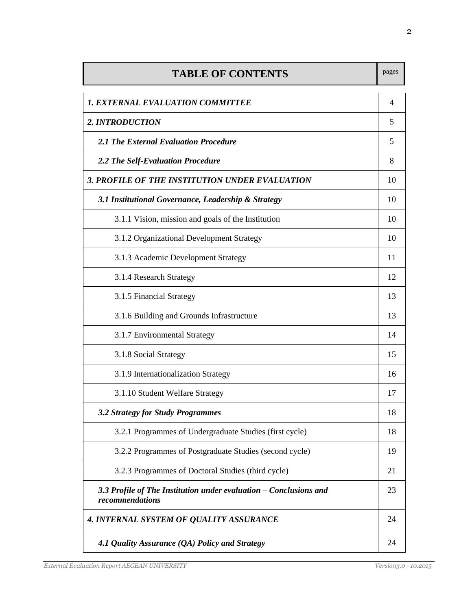| <b>TABLE OF CONTENTS</b>                                                             | pages |
|--------------------------------------------------------------------------------------|-------|
| <b>1. EXTERNAL EVALUATION COMMITTEE</b>                                              | 4     |
| 2. INTRODUCTION                                                                      | 5     |
| 2.1 The External Evaluation Procedure                                                | 5     |
| 2.2 The Self-Evaluation Procedure                                                    | 8     |
| 3. PROFILE OF THE INSTITUTION UNDER EVALUATION                                       | 10    |
| 3.1 Institutional Governance, Leadership & Strategy                                  | 10    |
| 3.1.1 Vision, mission and goals of the Institution                                   | 10    |
| 3.1.2 Organizational Development Strategy                                            | 10    |
| 3.1.3 Academic Development Strategy                                                  | 11    |
| 3.1.4 Research Strategy                                                              | 12    |
| 3.1.5 Financial Strategy                                                             | 13    |
| 3.1.6 Building and Grounds Infrastructure                                            | 13    |
| 3.1.7 Environmental Strategy                                                         | 14    |
| 3.1.8 Social Strategy                                                                | 15    |
| 3.1.9 Internationalization Strategy                                                  | 16    |
| 3.1.10 Student Welfare Strategy                                                      | 17    |
| 3.2 Strategy for Study Programmes                                                    | 18    |
| 3.2.1 Programmes of Undergraduate Studies (first cycle)                              | 18    |
| 3.2.2 Programmes of Postgraduate Studies (second cycle)                              | 19    |
| 3.2.3 Programmes of Doctoral Studies (third cycle)                                   | 21    |
| 3.3 Profile of The Institution under evaluation – Conclusions and<br>recommendations | 23    |
| <b>4. INTERNAL SYSTEM OF QUALITY ASSURANCE</b>                                       | 24    |
| 4.1 Quality Assurance (QA) Policy and Strategy                                       | 24    |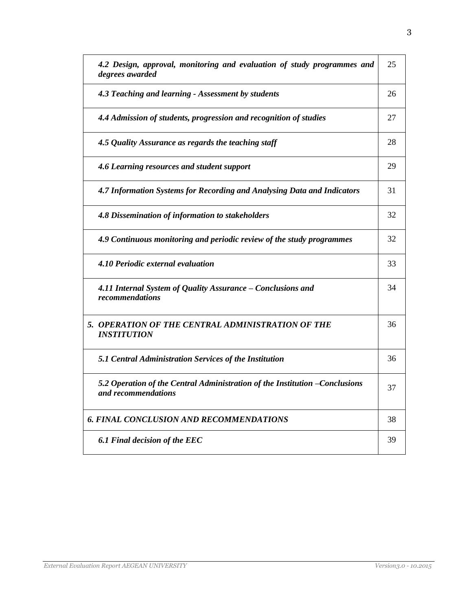| 4.2 Design, approval, monitoring and evaluation of study programmes and<br>degrees awarded         | 25 |
|----------------------------------------------------------------------------------------------------|----|
| 4.3 Teaching and learning - Assessment by students                                                 | 26 |
| 4.4 Admission of students, progression and recognition of studies                                  | 27 |
| 4.5 Quality Assurance as regards the teaching staff                                                | 28 |
| 4.6 Learning resources and student support                                                         | 29 |
| 4.7 Information Systems for Recording and Analysing Data and Indicators                            | 31 |
| 4.8 Dissemination of information to stakeholders                                                   | 32 |
| 4.9 Continuous monitoring and periodic review of the study programmes                              | 32 |
| 4.10 Periodic external evaluation                                                                  | 33 |
| 4.11 Internal System of Quality Assurance – Conclusions and<br>recommendations                     | 34 |
| 5. OPERATION OF THE CENTRAL ADMINISTRATION OF THE<br><b>INSTITUTION</b>                            | 36 |
| 5.1 Central Administration Services of the Institution                                             | 36 |
| 5.2 Operation of the Central Administration of the Institution -Conclusions<br>and recommendations | 37 |
| 6. FINAL CONCLUSION AND RECOMMENDATIONS                                                            | 38 |
| 6.1 Final decision of the EEC                                                                      | 39 |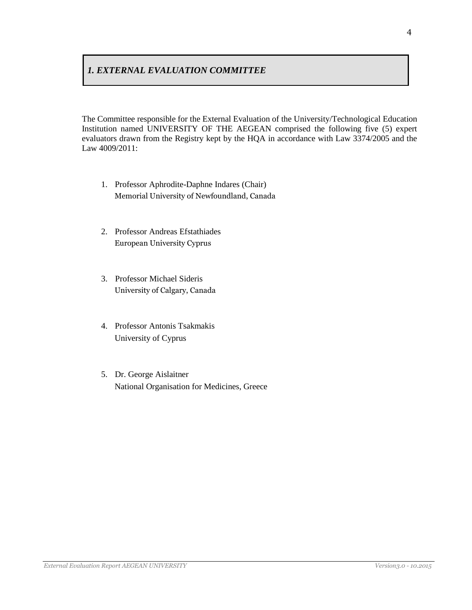# *1. EXTERNAL EVALUATION COMMITTEE*

The Committee responsible for the External Evaluation of the University/Technological Education Institution named UNIVERSITY OF THE AEGEAN comprised the following five (5) expert evaluators drawn from the Registry kept by the HQA in accordance with Law 3374/2005 and the Law 4009/2011:

- 1. Professor Aphrodite-Daphne Indares (Chair) Memorial University of Newfoundland, Canada
- 2. Professor Andreas Efstathiades European University Cyprus
- 3. Professor Michael Sideris University of Calgary, Canada
- 4. Professor Antonis Tsakmakis University of Cyprus
- 5. Dr. George Aislaitner National Organisation for Medicines, Greece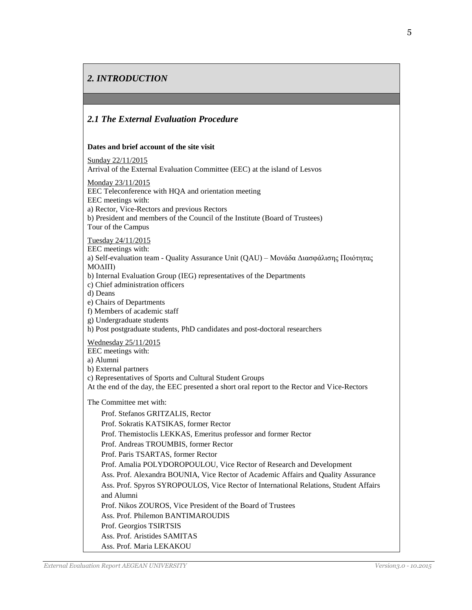# *2. INTRODUCTION*

### *2.1 The External Evaluation Procedure*

#### **Dates and brief account of the site visit**

Sunday 22/11/2015

Arrival of the External Evaluation Committee (EEC) at the island of Lesvos

Monday 23/11/2015

EEC Teleconference with HQA and orientation meeting

EEC meetings with:

a) Rector, Vice-Rectors and previous Rectors

b) President and members of the Council of the Institute (Board of Trustees) Tour of the Campus

Tuesday 24/11/2015

EEC meetings with:

a) Self-evaluation team - Quality Assurance Unit (QAU) – Μονάδα Διασφάλισης Ποιότητας ΜΟΔΙΠ)

b) Internal Evaluation Group (IEG) representatives of the Departments

c) Chief administration officers

d) Deans

e) Chairs of Departments

f) Members of academic staff

g) Undergraduate students

h) Post postgraduate students, PhD candidates and post-doctoral researchers

Wednesday 25/11/2015

EEC meetings with:

a) Alumni

b) External partners

c) Representatives of Sports and Cultural Student Groups

At the end of the day, the EEC presented a short oral report to the Rector and Vice-Rectors

The Committee met with:

Prof. Stefanos GRITZALIS, Rector Prof. Sokratis KATSIKAS, former Rector Prof. Themistoclis LEKKAS, Emeritus professor and former Rector Prof. Andreas TROUMBIS, former Rector Prof. Paris TSARTAS, former Rector Prof. Amalia POLYDOROPOULOU, Vice Rector of Research and Development Ass. Prof. Alexandra BOUNIA, Vice Rector of Academic Affairs and Quality Assurance Ass. Prof. Spyros SYROPOULOS, Vice Rector of International Relations, Student Affairs and Alumni Prof. Nikos ZOUROS, Vice President of the Board of Trustees Ass. Prof. Philemon BANTIMAROUDIS Prof. Georgios TSIRTSIS Ass. Prof. Aristides SAMITAS Ass. Prof. Maria LEKAKOU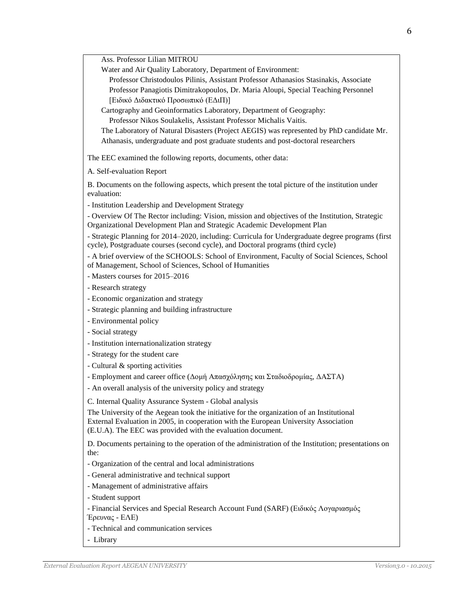Ass. Professor Lilian MITROU

Water and Air Quality Laboratory, Department of Environment:

Professor Christodoulos Pilinis, Assistant Professor Athanasios Stasinakis, Associate Professor Panagiotis Dimitrakopoulos, Dr. Maria Aloupi, Special Teaching Personnel [Ειδικό Διδακτικό Προσωπικό (ΕΔιΠ)]

Cartography and Geoinformatics Laboratory, Department of Geography:

Professor Nikos Soulakelis, Assistant Professor Michalis Vaitis.

The Laboratory of Natural Disasters (Project AEGIS) was represented by PhD candidate Mr. Athanasis, undergraduate and post graduate students and post-doctoral researchers

The EEC examined the following reports, documents, other data:

A. Self-evaluation Report

B. Documents on the following aspects, which present the total picture of the institution under evaluation:

- Institution Leadership and Development Strategy

- Overview Of The Rector including: Vision, mission and objectives of the Institution, Strategic Organizational Development Plan and Strategic Academic Development Plan

- Strategic Planning for 2014–2020, including: Curricula for Undergraduate degree programs (first cycle), Postgraduate courses (second cycle), and Doctoral programs (third cycle)

- A brief overview of the SCHOOLS: School of Environment, Faculty of Social Sciences, School of Management, School of Sciences, School of Humanities

- Masters courses for 2015–2016

- Research strategy

- Economic organization and strategy

- Strategic planning and building infrastructure

- Environmental policy

- Social strategy

- Institution internationalization strategy

- Strategy for the student care

- Cultural & sporting activities

- Employment and career office (Δομή Απασχόλησης και Σταδιοδρομίας, ΔΑΣΤΑ)

- An overall analysis of the university policy and strategy

C. Internal Quality Assurance System - Global analysis

The University of the Aegean took the initiative for the organization of an Institutional External Evaluation in 2005, in cooperation with the European University Association (E.U.A). The EEC was provided with the evaluation document.

D. Documents pertaining to the operation of the administration of the Institution; presentations on the:

- Organization of the central and local administrations

- General administrative and technical support

- Management of administrative affairs

- Student support

- Financial Services and Special Research Account Fund (SARF) (Ειδικός Λογαριασμός

Έρευνας - ΕΛΕ)

- Technical and communication services

- Library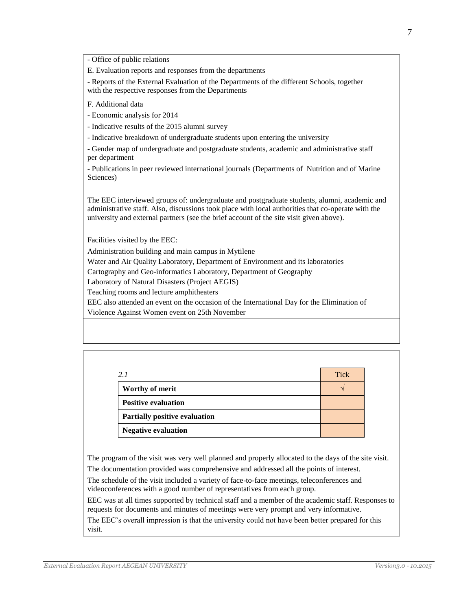- Office of public relations

E. Evaluation reports and responses from the departments

- Reports of the External Evaluation of the Departments of the different Schools, together with the respective responses from the Departments

F. Additional data

- Economic analysis for 2014

- Indicative results of the 2015 alumni survey

- Indicative breakdown of undergraduate students upon entering the university

- Gender map of undergraduate and postgraduate students, academic and administrative staff per department

- Publications in peer reviewed international journals (Departments of Nutrition and of Marine Sciences)

The EEC interviewed groups of: undergraduate and postgraduate students, alumni, academic and administrative staff. Also, discussions took place with local authorities that co-operate with the university and external partners (see the brief account of the site visit given above).

Facilities visited by the EEC:

Administration building and main campus in Mytilene

Water and Air Quality Laboratory, Department of Environment and its laboratories

Cartography and Geo-informatics Laboratory, Department of Geography

Laboratory of Natural Disasters (Project AEGIS)

Teaching rooms and lecture amphitheaters

EEC also attended an event on the occasion of the International Day for the Elimination of Violence Against Women event on 25th November

| 2.1                                  | <b>Tick</b> |
|--------------------------------------|-------------|
| <b>Worthy of merit</b>               |             |
| <b>Positive evaluation</b>           |             |
| <b>Partially positive evaluation</b> |             |
| <b>Negative evaluation</b>           |             |

The program of the visit was very well planned and properly allocated to the days of the site visit. The documentation provided was comprehensive and addressed all the points of interest.

The schedule of the visit included a variety of face-to-face meetings, teleconferences and videoconferences with a good number of representatives from each group.

EEC was at all times supported by technical staff and a member of the academic staff. Responses to requests for documents and minutes of meetings were very prompt and very informative.

The EEC's overall impression is that the university could not have been better prepared for this visit.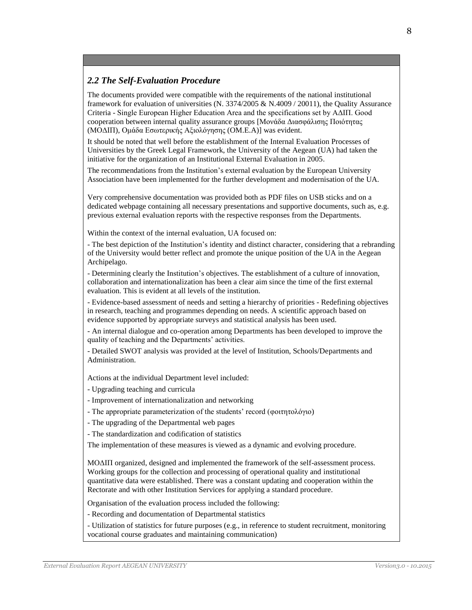### *2.2 The Self-Evaluation Procedure*

The documents provided were compatible with the requirements of the national institutional framework for evaluation of universities (N. 3374/2005 & N.4009 / 20011), the Quality Assurance Criteria - Single European Higher Education Area and the specifications set by ΑΔΙΠ. Good cooperation between internal quality assurance groups [Μονάδα Διασφάλισης Ποιότητας (ΜΟΔΙΠ), Ομάδα Εσωτερικής Αξιολόγησης (OM.E.A)] was evident.

It should be noted that well before the establishment of the Internal Evaluation Processes of Universities by the Greek Legal Framework, the University of the Aegean (UA) had taken the initiative for the organization of an Institutional External Evaluation in 2005.

The recommendations from the Institution's external evaluation by the European University Association have been implemented for the further development and modernisation of the UA.

Very comprehensive documentation was provided both as PDF files on USB sticks and on a dedicated webpage containing all necessary presentations and supportive documents, such as, e.g. previous external evaluation reports with the respective responses from the Departments.

Within the context of the internal evaluation, UA focused on:

- The best depiction of the Institution's identity and distinct character, considering that a rebranding of the University would better reflect and promote the unique position of the UA in the Aegean Archipelago.

- Determining clearly the Institution's objectives. The establishment of a culture of innovation, collaboration and internationalization has been a clear aim since the time of the first external evaluation. This is evident at all levels of the institution.

- Evidence-based assessment of needs and setting a hierarchy of priorities - Redefining objectives in research, teaching and programmes depending on needs. A scientific approach based on evidence supported by appropriate surveys and statistical analysis has been used.

- An internal dialogue and co-operation among Departments has been developed to improve the quality of teaching and the Departments' activities.

- Detailed SWOT analysis was provided at the level of Institution, Schools/Departments and Administration.

Actions at the individual Department level included:

- Upgrading teaching and curricula

- Improvement of internationalization and networking

- The appropriate parameterization of the students' record (φοιτητολόγιο)

- The upgrading of the Departmental web pages

- The standardization and codification of statistics

The implementation of these measures is viewed as a dynamic and evolving procedure.

ΜΟΔΙΠ organized, designed and implemented the framework of the self-assessment process. Working groups for the collection and processing of operational quality and institutional quantitative data were established. There was a constant updating and cooperation within the Rectorate and with other Institution Services for applying a standard procedure.

Organisation of the evaluation process included the following:

- Recording and documentation of Departmental statistics

- Utilization of statistics for future purposes (e.g., in reference to student recruitment, monitoring vocational course graduates and maintaining communication)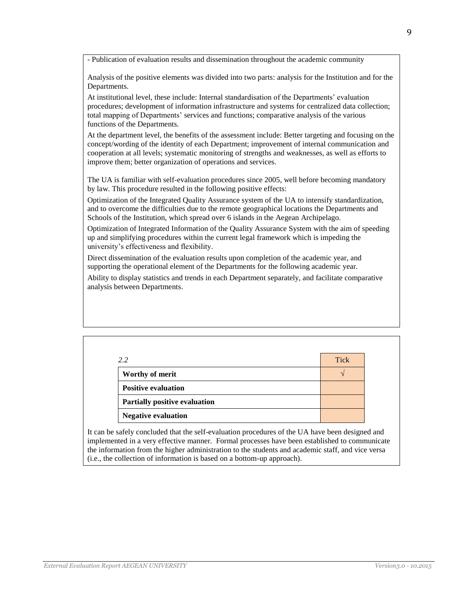- Publication of evaluation results and dissemination throughout the academic community

Analysis of the positive elements was divided into two parts: analysis for the Institution and for the Departments.

At institutional level, these include: Internal standardisation of the Departments' evaluation procedures; development of information infrastructure and systems for centralized data collection; total mapping of Departments' services and functions; comparative analysis of the various functions of the Departments.

At the department level, the benefits of the assessment include: Better targeting and focusing on the concept/wording of the identity of each Department; improvement of internal communication and cooperation at all levels; systematic monitoring of strengths and weaknesses, as well as efforts to improve them; better organization of operations and services.

The UA is familiar with self-evaluation procedures since 2005, well before becoming mandatory by law. This procedure resulted in the following positive effects:

Optimization of the Integrated Quality Assurance system of the UA to intensify standardization, and to overcome the difficulties due to the remote geographical locations the Departments and Schools of the Institution, which spread over 6 islands in the Aegean Archipelago.

Optimization of Integrated Information of the Quality Assurance System with the aim of speeding up and simplifying procedures within the current legal framework which is impeding the university's effectiveness and flexibility.

Direct dissemination of the evaluation results upon completion of the academic year, and supporting the operational element of the Departments for the following academic year.

Ability to display statistics and trends in each Department separately, and facilitate comparative analysis between Departments.

| 2.2                                  | <b>Tick</b> |
|--------------------------------------|-------------|
| Worthy of merit                      |             |
| <b>Positive evaluation</b>           |             |
| <b>Partially positive evaluation</b> |             |
| <b>Negative evaluation</b>           |             |

It can be safely concluded that the self-evaluation procedures of the UA have been designed and implemented in a very effective manner. Formal processes have been established to communicate the information from the higher administration to the students and academic staff, and vice versa (i.e., the collection of information is based on a bottom-up approach).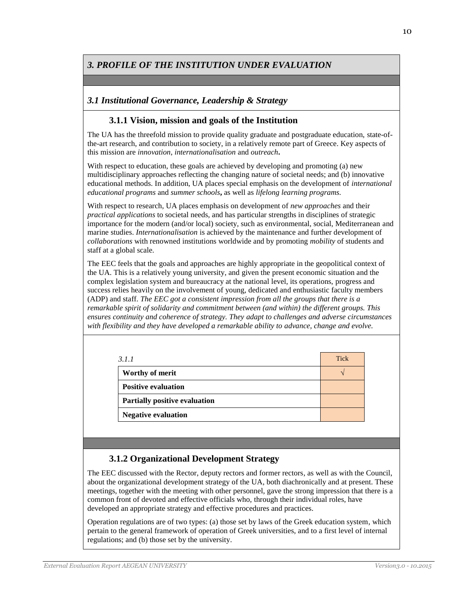# *3. PROFILE OF THE INSTITUTION UNDER EVALUATION*

### *3.1 Institutional Governance, Leadership & Strategy*

### **3.1.1 Vision, mission and goals of the Institution**

The UA has the threefold mission to provide quality graduate and postgraduate education, state-ofthe-art research, and contribution to society, in a relatively remote part of Greece. Key aspects of this mission are *innovation*, *internationalisation* and *outreach***.**

With respect to education, these goals are achieved by developing and promoting (a) new multidisciplinary approaches reflecting the changing nature of societal needs; and (b) innovative educational methods. In addition, UA places special emphasis on the development of *international educational programs* and *summer schools***,** as well as *lifelong learning programs.*

With respect to research, UA places emphasis on development of *new approaches* and their *practical applications* to societal needs, and has particular strengths in disciplines of strategic importance for the modern (and/or local) society, such as environmental, social, Mediterranean and marine studies. *Internationalisation* is achieved by the maintenance and further development of *collaborations* with renowned institutions worldwide and by promoting *mobility* of students and staff at a global scale.

The EEC feels that the goals and approaches are highly appropriate in the geopolitical context of the UA. This is a relatively young university, and given the present economic situation and the complex legislation system and bureaucracy at the national level, its operations, progress and success relies heavily on the involvement of young, dedicated and enthusiastic faculty members (ADP) and staff. *The EEC got a consistent impression from all the groups that there is a remarkable spirit of solidarity and commitment between (and within) the different groups. This ensures continuity and coherence of strategy. They adapt to challenges and adverse circumstances with flexibility and they have developed a remarkable ability to advance, change and evolve.*

| 3.1.1                                | <b>Tick</b> |
|--------------------------------------|-------------|
| Worthy of merit                      |             |
| <b>Positive evaluation</b>           |             |
| <b>Partially positive evaluation</b> |             |
| <b>Negative evaluation</b>           |             |

### **3.1.2 Organizational Development Strategy**

The EEC discussed with the Rector, deputy rectors and former rectors, as well as with the Council, about the organizational development strategy of the UA, both diachronically and at present. These meetings, together with the meeting with other personnel, gave the strong impression that there is a common front of devoted and effective officials who, through their individual roles, have developed an appropriate strategy and effective procedures and practices.

Operation regulations are of two types: (a) those set by laws of the Greek education system, which pertain to the general framework of operation of Greek universities, and to a first level of internal regulations; and (b) those set by the university.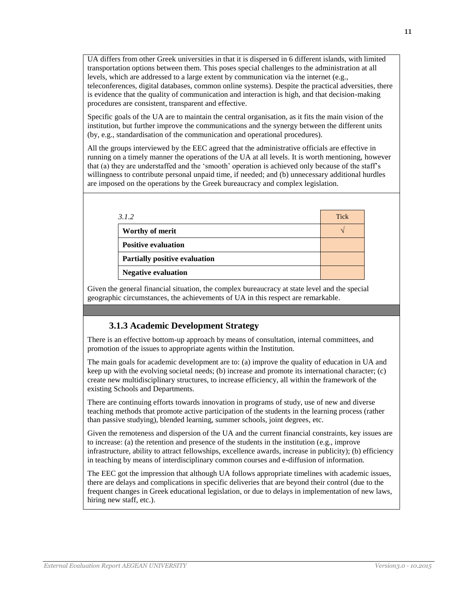UA differs from other Greek universities in that it is dispersed in 6 different islands, with limited transportation options between them. This poses special challenges to the administration at all levels, which are addressed to a large extent by communication via the internet (e.g., teleconferences, digital databases, common online systems). Despite the practical adversities, there is evidence that the quality of communication and interaction is high, and that decision-making procedures are consistent, transparent and effective.

Specific goals of the UA are to maintain the central organisation, as it fits the main vision of the institution, but further improve the communications and the synergy between the different units (by, e.g., standardisation of the communication and operational procedures).

All the groups interviewed by the EEC agreed that the administrative officials are effective in running on a timely manner the operations of the UA at all levels. It is worth mentioning, however that (a) they are understaffed and the 'smooth' operation is achieved only because of the staff's willingness to contribute personal unpaid time, if needed; and (b) unnecessary additional hurdles are imposed on the operations by the Greek bureaucracy and complex legislation.

| 3.1.2                                | <b>Tick</b> |
|--------------------------------------|-------------|
| Worthy of merit                      |             |
| <b>Positive evaluation</b>           |             |
| <b>Partially positive evaluation</b> |             |
| <b>Negative evaluation</b>           |             |

Given the general financial situation, the complex bureaucracy at state level and the special geographic circumstances, the achievements of UA in this respect are remarkable.

### **3.1.3 Academic Development Strategy**

There is an effective bottom-up approach by means of consultation, internal committees, and promotion of the issues to appropriate agents within the Institution.

The main goals for academic development are to: (a) improve the quality of education in UA and keep up with the evolving societal needs; (b) increase and promote its international character; (c) create new multidisciplinary structures, to increase efficiency, all within the framework of the existing Schools and Departments.

There are continuing efforts towards innovation in programs of study, use of new and diverse teaching methods that promote active participation of the students in the learning process (rather than passive studying), blended learning, summer schools, joint degrees, etc.

Given the remoteness and dispersion of the UA and the current financial constraints, key issues are to increase: (a) the retention and presence of the students in the institution (e.g., improve infrastructure, ability to attract fellowships, excellence awards, increase in publicity); (b) efficiency in teaching by means of interdisciplinary common courses and e-diffusion of information.

The EEC got the impression that although UA follows appropriate timelines with academic issues, there are delays and complications in specific deliveries that are beyond their control (due to the frequent changes in Greek educational legislation, or due to delays in implementation of new laws, hiring new staff, etc.).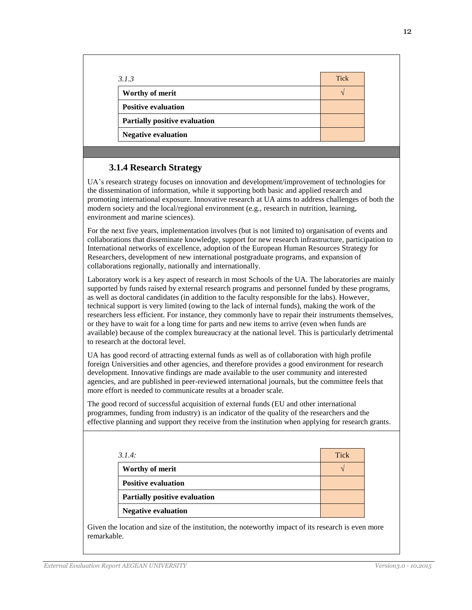| 3.1.3                         | <b>Tick</b> |
|-------------------------------|-------------|
| Worthy of merit               |             |
| <b>Positive evaluation</b>    |             |
| Partially positive evaluation |             |
| <b>Negative evaluation</b>    |             |

### **3.1.4 Research Strategy**

UA's research strategy focuses on innovation and development/improvement of technologies for the dissemination of information, while it supporting both basic and applied research and promoting international exposure. Innovative research at UA aims to address challenges of both the modern society and the local/regional environment (e.g., research in nutrition, learning, environment and marine sciences).

For the next five years, implementation involves (but is not limited to) organisation of events and collaborations that disseminate knowledge, support for new research infrastructure, participation to International networks of excellence, adoption of the European Human Resources Strategy for Researchers, development of new international postgraduate programs, and expansion of collaborations regionally, nationally and internationally.

Laboratory work is a key aspect of research in most Schools of the UA. The laboratories are mainly supported by funds raised by external research programs and personnel funded by these programs, as well as doctoral candidates (in addition to the faculty responsible for the labs). However, technical support is very limited (owing to the lack of internal funds), making the work of the researchers less efficient. For instance, they commonly have to repair their instruments themselves, or they have to wait for a long time for parts and new items to arrive (even when funds are available) because of the complex bureaucracy at the national level. This is particularly detrimental to research at the doctoral level.

UA has good record of attracting external funds as well as of collaboration with high profile foreign Universities and other agencies, and therefore provides a good environment for research development. Innovative findings are made available to the user community and interested agencies, and are published in peer-reviewed international journals, but the committee feels that more effort is needed to communicate results at a broader scale.

The good record of successful acquisition of external funds (EU and other international programmes, funding from industry) is an indicator of the quality of the researchers and the effective planning and support they receive from the institution when applying for research grants.

| 3.1.4:                               | <b>Tick</b> |
|--------------------------------------|-------------|
| Worthy of merit                      |             |
| <b>Positive evaluation</b>           |             |
| <b>Partially positive evaluation</b> |             |
| <b>Negative evaluation</b>           |             |

Given the location and size of the institution, the noteworthy impact of its research is even more remarkable.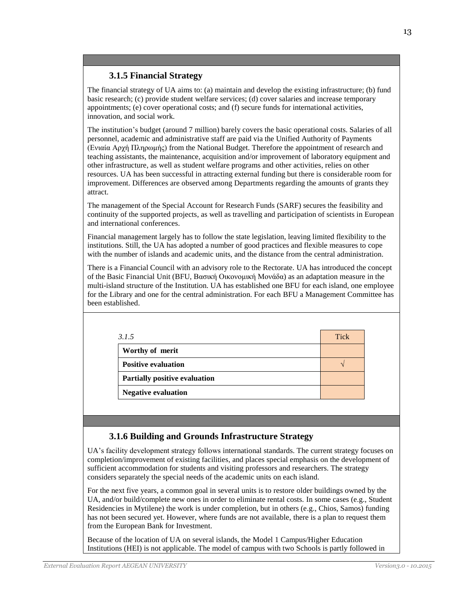### **3.1.5 Financial Strategy**

The financial strategy of UA aims to: (a) maintain and develop the existing infrastructure; (b) fund basic research; (c) provide student welfare services; (d) cover salaries and increase temporary appointments; (e) cover operational costs; and (f) secure funds for international activities, innovation, and social work.

The institution's budget (around 7 million) barely covers the basic operational costs. Salaries of all personnel, academic and administrative staff are paid via the Unified Authority of Payments (Ενιαία Αρχή Πληρωμής) from the National Budget. Therefore the appointment of research and teaching assistants, the maintenance, acquisition and/or improvement of laboratory equipment and other infrastructure, as well as student welfare programs and other activities, relies on other resources. UA has been successful in attracting external funding but there is considerable room for improvement. Differences are observed among Departments regarding the amounts of grants they attract.

The management of the Special Account for Research Funds (SARF) secures the feasibility and continuity of the supported projects, as well as travelling and participation of scientists in European and international conferences.

Financial management largely has to follow the state legislation, leaving limited flexibility to the institutions. Still, the UA has adopted a number of good practices and flexible measures to cope with the number of islands and academic units, and the distance from the central administration.

There is a Financial Council with an advisory role to the Rectorate. UA has introduced the concept of the Basic Financial Unit (BFU, Βασική Οικονομική Μονάδα) as an adaptation measure in the multi-island structure of the Institution. UA has established one BFU for each island, one employee for the Library and one for the central administration. For each BFU a Management Committee has been established.

| 3.1.5                                | <b>Tick</b> |
|--------------------------------------|-------------|
| Worthy of merit                      |             |
| <b>Positive evaluation</b>           |             |
| <b>Partially positive evaluation</b> |             |
| <b>Negative evaluation</b>           |             |

# **3.1.6 Building and Grounds Infrastructure Strategy**

UA's facility development strategy follows international standards. The current strategy focuses on completion/improvement of existing facilities, and places special emphasis on the development of sufficient accommodation for students and visiting professors and researchers. The strategy considers separately the special needs of the academic units on each island.

For the next five years, a common goal in several units is to restore older buildings owned by the UA, and/or build/complete new ones in order to eliminate rental costs. In some cases (e.g., Student Residencies in Mytilene) the work is under completion, but in others (e.g., Chios, Samos) funding has not been secured yet. However, where funds are not available, there is a plan to request them from the European Bank for Investment.

Because of the location of UA on several islands, the Model 1 Campus/Higher Education Institutions (HEI) is not applicable. The model of campus with two Schools is partly followed in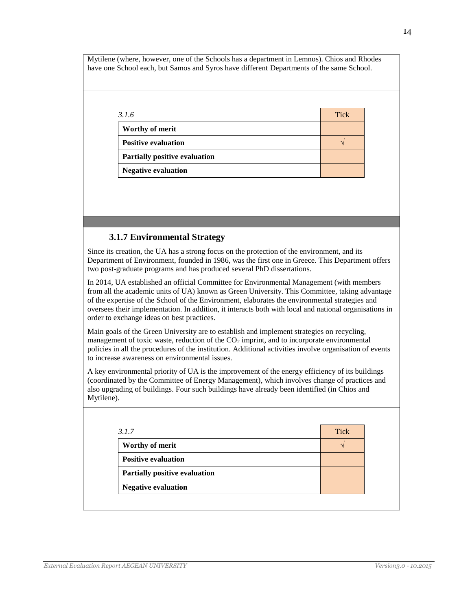Mytilene (where, however, one of the Schools has a department in Lemnos). Chios and Rhodes have one School each, but Samos and Syros have different Departments of the same School.

| 3.1.6                                | <b>Tick</b> |
|--------------------------------------|-------------|
| Worthy of merit                      |             |
| <b>Positive evaluation</b>           |             |
| <b>Partially positive evaluation</b> |             |
| <b>Negative evaluation</b>           |             |

### **3.1.7 Environmental Strategy**

Since its creation, the UA has a strong focus on the protection of the environment, and its Department of Environment, founded in 1986, was the first one in Greece. This Department offers two post-graduate programs and has produced several PhD dissertations.

In 2014, UA established an official Committee for Environmental Management (with members from all the academic units of UA) known as Green University. This Committee, taking advantage of the expertise of the School of the Environment, elaborates the environmental strategies and oversees their implementation. In addition, it interacts both with local and national organisations in order to exchange ideas on best practices.

Main goals of the Green University are to establish and implement strategies on recycling, management of toxic waste, reduction of the  $CO<sub>2</sub>$  imprint, and to incorporate environmental policies in all the procedures of the institution. Additional activities involve organisation of events to increase awareness on environmental issues.

A key environmental priority of UA is the improvement of the energy efficiency of its buildings (coordinated by the Committee of Energy Management), which involves change of practices and also upgrading of buildings. Four such buildings have already been identified (in Chios and Mytilene).

| 3.1.7                                | <b>Tick</b> |
|--------------------------------------|-------------|
| Worthy of merit                      |             |
| <b>Positive evaluation</b>           |             |
| <b>Partially positive evaluation</b> |             |
| <b>Negative evaluation</b>           |             |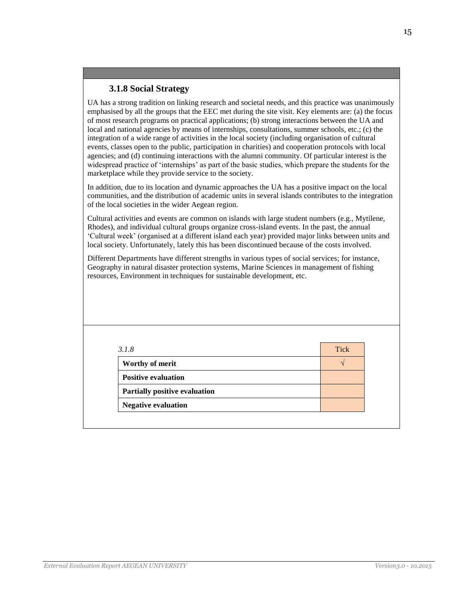# **3.1.8 Social Strategy**

UA has a strong tradition on linking research and societal needs, and this practice was unanimously emphasised by all the groups that the EEC met during the site visit. Key elements are: (a) the focus of most research programs on practical applications; (b) strong interactions between the UA and local and national agencies by means of internships, consultations, summer schools, etc.; (c) the integration of a wide range of activities in the local society (including organisation of cultural events, classes open to the public, participation in charities) and cooperation protocols with local agencies; and (d) continuing interactions with the alumni community. Of particular interest is the widespread practice of 'internships' as part of the basic studies, which prepare the students for the marketplace while they provide service to the society.

In addition, due to its location and dynamic approaches the UA has a positive impact on the local communities, and the distribution of academic units in several islands contributes to the integration of the local societies in the wider Aegean region.

Cultural activities and events are common on islands with large student numbers (e.g., Mytilene, Rhodes), and individual cultural groups organize cross-island events. In the past, the annual 'Cultural week' (organised at a different island each year) provided major links between units and local society. Unfortunately, lately this has been discontinued because of the costs involved.

Different Departments have different strengths in various types of social services; for instance, Geography in natural disaster protection systems, Marine Sciences in management of fishing resources, Environment in techniques for sustainable development, etc.

| 3.1.8                         | Tick |
|-------------------------------|------|
| Worthy of merit               |      |
| <b>Positive evaluation</b>    |      |
| Partially positive evaluation |      |
| <b>Negative evaluation</b>    |      |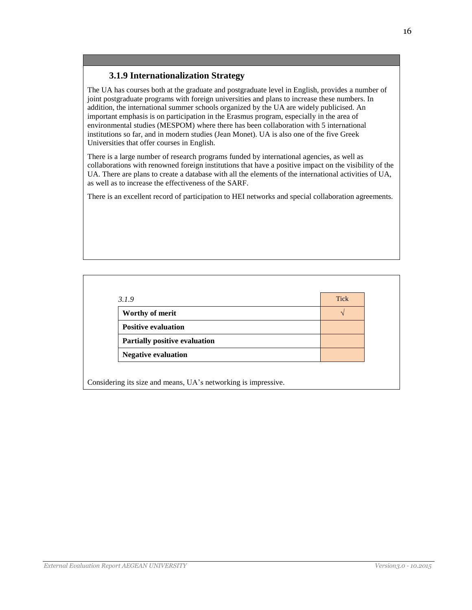### **3.1.9 Internationalization Strategy**

The UA has courses both at the graduate and postgraduate level in English, provides a number of joint postgraduate programs with foreign universities and plans to increase these numbers. In addition, the international summer schools organized by the UA are widely publicised. An important emphasis is on participation in the Erasmus program, especially in the area of environmental studies (MESPOM) where there has been collaboration with 5 international institutions so far, and in modern studies (Jean Monet). UA is also one of the five Greek Universities that offer courses in English.

There is a large number of research programs funded by international agencies, as well as collaborations with renowned foreign institutions that have a positive impact on the visibility of the UA. There are plans to create a database with all the elements of the international activities of UA, as well as to increase the effectiveness of the SARF.

There is an excellent record of participation to HEI networks and special collaboration agreements.

| 3.1.9                                | <b>Tick</b> |
|--------------------------------------|-------------|
| Worthy of merit                      |             |
| <b>Positive evaluation</b>           |             |
| <b>Partially positive evaluation</b> |             |
| <b>Negative evaluation</b>           |             |

Considering its size and means, UA's networking is impressive.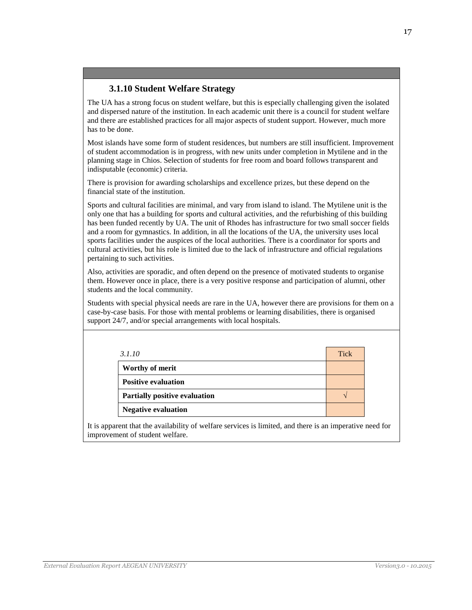# **3.1.10 Student Welfare Strategy**

The UA has a strong focus on student welfare, but this is especially challenging given the isolated and dispersed nature of the institution. In each academic unit there is a council for student welfare and there are established practices for all major aspects of student support. However, much more has to be done.

Most islands have some form of student residences, but numbers are still insufficient. Improvement of student accommodation is in progress, with new units under completion in Mytilene and in the planning stage in Chios. Selection of students for free room and board follows transparent and indisputable (economic) criteria.

There is provision for awarding scholarships and excellence prizes, but these depend on the financial state of the institution.

Sports and cultural facilities are minimal, and vary from island to island. The Mytilene unit is the only one that has a building for sports and cultural activities, and the refurbishing of this building has been funded recently by UA. The unit of Rhodes has infrastructure for two small soccer fields and a room for gymnastics. In addition, in all the locations of the UA, the university uses local sports facilities under the auspices of the local authorities. There is a coordinator for sports and cultural activities, but his role is limited due to the lack of infrastructure and official regulations pertaining to such activities.

Also, activities are sporadic, and often depend on the presence of motivated students to organise them. However once in place, there is a very positive response and participation of alumni, other students and the local community.

Students with special physical needs are rare in the UA, however there are provisions for them on a case-by-case basis. For those with mental problems or learning disabilities, there is organised support 24/7, and/or special arrangements with local hospitals.

| 3.1.10                               | Tick |
|--------------------------------------|------|
| Worthy of merit                      |      |
| <b>Positive evaluation</b>           |      |
| <b>Partially positive evaluation</b> |      |
| <b>Negative evaluation</b>           |      |

It is apparent that the availability of welfare services is limited, and there is an imperative need for improvement of student welfare.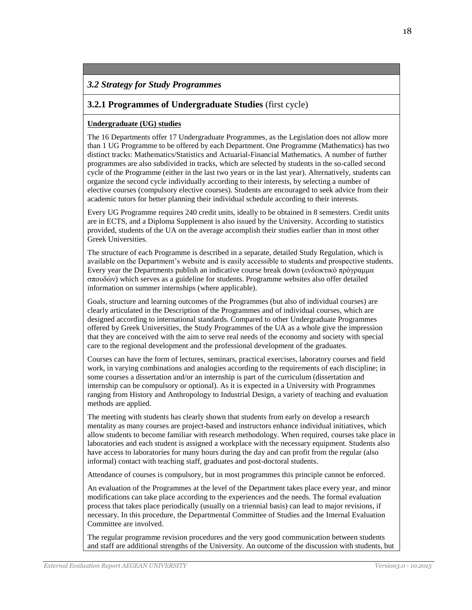# *3.2 Strategy for Study Programmes*

# **3.2.1 Programmes of Undergraduate Studies** (first cycle)

#### **Undergraduate (UG) studies**

The 16 Departments offer 17 Undergraduate Programmes, as the Legislation does not allow more than 1 UG Programme to be offered by each Department. One Programme (Mathematics) has two distinct tracks: Mathematics/Statistics and Actuarial-Financial Mathematics. A number of further programmes are also subdivided in tracks, which are selected by students in the so-called second cycle of the Programme (either in the last two years or in the last year). Alternatively, students can organize the second cycle individually according to their interests, by selecting a number of elective courses (compulsory elective courses). Students are encouraged to seek advice from their academic tutors for better planning their individual schedule according to their interests.

Every UG Programme requires 240 credit units, ideally to be obtained in 8 semesters. Credit units are in ECTS, and a Diploma Supplement is also issued by the University. According to statistics provided, students of the UA on the average accomplish their studies earlier than in most other Greek Universities.

The structure of each Programme is described in a separate, detailed Study Regulation, which is available on the Department's website and is easily accessible to students and prospective students. Every year the Departments publish an indicative course break down (ενδεικτικό πρόγραμμα σπουδών) which serves as a guideline for students. Programme websites also offer detailed information on summer internships (where applicable).

Goals, structure and learning outcomes of the Programmes (but also of individual courses) are clearly articulated in the Description of the Programmes and of individual courses, which are designed according to international standards. Compared to other Undergraduate Programmes offered by Greek Universities, the Study Programmes of the UA as a whole give the impression that they are conceived with the aim to serve real needs of the economy and society with special care to the regional development and the professional development of the graduates.

Courses can have the form of lectures, seminars, practical exercises, laboratory courses and field work, in varying combinations and analogies according to the requirements of each discipline; in some courses a dissertation and/or an internship is part of the curriculum (dissertation and internship can be compulsory or optional). As it is expected in a University with Programmes ranging from History and Anthropology to Industrial Design, a variety of teaching and evaluation methods are applied.

The meeting with students has clearly shown that students from early on develop a research mentality as many courses are project-based and instructors enhance individual initiatives, which allow students to become familiar with research methodology. When required, courses take place in laboratories and each student is assigned a workplace with the necessary equipment. Students also have access to laboratories for many hours during the day and can profit from the regular (also informal) contact with teaching staff, graduates and post-doctoral students.

Attendance of courses is compulsory, but in most programmes this principle cannot be enforced.

An evaluation of the Programmes at the level of the Department takes place every year, and minor modifications can take place according to the experiences and the needs. The formal evaluation process that takes place periodically (usually on a triennial basis) can lead to major revisions, if necessary. In this procedure, the Departmental Committee of Studies and the Internal Evaluation Committee are involved.

The regular programme revision procedures and the very good communication between students and staff are additional strengths of the University. An outcome of the discussion with students, but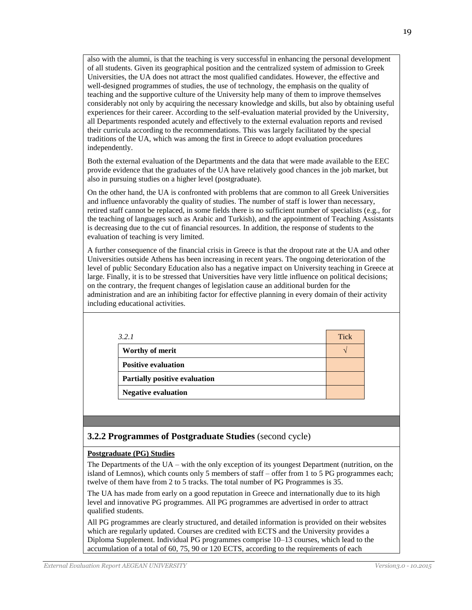also with the alumni, is that the teaching is very successful in enhancing the personal development of all students. Given its geographical position and the centralized system of admission to Greek Universities, the UA does not attract the most qualified candidates. However, the effective and well-designed programmes of studies, the use of technology, the emphasis on the quality of teaching and the supportive culture of the University help many of them to improve themselves considerably not only by acquiring the necessary knowledge and skills, but also by obtaining useful experiences for their career. According to the self-evaluation material provided by the University, all Departments responded acutely and effectively to the external evaluation reports and revised their curricula according to the recommendations. This was largely facilitated by the special traditions of the UA, which was among the first in Greece to adopt evaluation procedures independently.

Both the external evaluation of the Departments and the data that were made available to the EEC provide evidence that the graduates of the UA have relatively good chances in the job market, but also in pursuing studies on a higher level (postgraduate).

On the other hand, the UA is confronted with problems that are common to all Greek Universities and influence unfavorably the quality of studies. The number of staff is lower than necessary, retired staff cannot be replaced, in some fields there is no sufficient number of specialists (e.g., for the teaching of languages such as Arabic and Turkish), and the appointment of Teaching Assistants is decreasing due to the cut of financial resources. In addition, the response of students to the evaluation of teaching is very limited.

A further consequence of the financial crisis in Greece is that the dropout rate at the UA and other Universities outside Athens has been increasing in recent years. The ongoing deterioration of the level of public Secondary Education also has a negative impact on University teaching in Greece at large. Finally, it is to be stressed that Universities have very little influence on political decisions; on the contrary, the frequent changes of legislation cause an additional burden for the administration and are an inhibiting factor for effective planning in every domain of their activity including educational activities.

| 3.2.1                                | <b>Tick</b> |
|--------------------------------------|-------------|
| Worthy of merit                      |             |
| <b>Positive evaluation</b>           |             |
| <b>Partially positive evaluation</b> |             |
| <b>Negative evaluation</b>           |             |

# **3.2.2 Programmes of Postgraduate Studies** (second cycle)

### **Postgraduate (PG) Studies**

The Departments of the UA – with the only exception of its youngest Department (nutrition, on the island of Lemnos), which counts only 5 members of staff – offer from 1 to 5 PG programmes each; twelve of them have from 2 to 5 tracks. The total number of PG Programmes is 35.

The UA has made from early on a good reputation in Greece and internationally due to its high level and innovative PG programmes. All PG programmes are advertised in order to attract qualified students.

All PG programmes are clearly structured, and detailed information is provided on their websites which are regularly updated. Courses are credited with ECTS and the University provides a Diploma Supplement. Individual PG programmes comprise 10–13 courses, which lead to the accumulation of a total of 60, 75, 90 or 120 ECTS, according to the requirements of each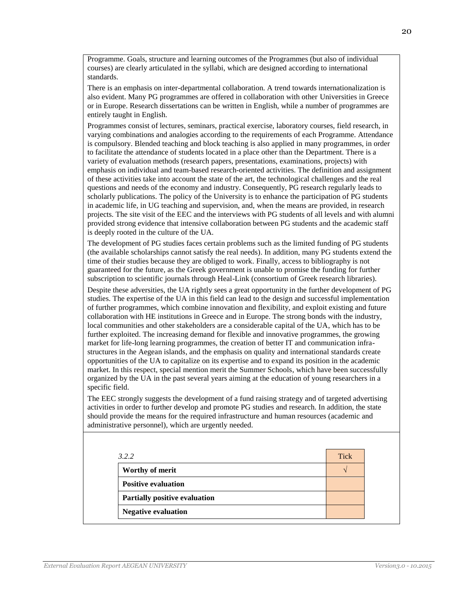Programme. Goals, structure and learning outcomes of the Programmes (but also of individual courses) are clearly articulated in the syllabi, which are designed according to international standards.

There is an emphasis on inter-departmental collaboration. A trend towards internationalization is also evident. Many PG programmes are offered in collaboration with other Universities in Greece or in Europe. Research dissertations can be written in English, while a number of programmes are entirely taught in English.

Programmes consist of lectures, seminars, practical exercise, laboratory courses, field research, in varying combinations and analogies according to the requirements of each Programme. Attendance is compulsory. Blended teaching and block teaching is also applied in many programmes, in order to facilitate the attendance of students located in a place other than the Department. There is a variety of evaluation methods (research papers, presentations, examinations, projects) with emphasis on individual and team-based research-oriented activities. The definition and assignment of these activities take into account the state of the art, the technological challenges and the real questions and needs of the economy and industry. Consequently, PG research regularly leads to scholarly publications. The policy of the University is to enhance the participation of PG students in academic life, in UG teaching and supervision, and, when the means are provided, in research projects. The site visit of the EEC and the interviews with PG students of all levels and with alumni provided strong evidence that intensive collaboration between PG students and the academic staff is deeply rooted in the culture of the UA.

The development of PG studies faces certain problems such as the limited funding of PG students (the available scholarships cannot satisfy the real needs). In addition, many PG students extend the time of their studies because they are obliged to work. Finally, access to bibliography is not guaranteed for the future, as the Greek government is unable to promise the funding for further subscription to scientific journals through Heal-Link (consortium of Greek research libraries).

Despite these adversities, the UA rightly sees a great opportunity in the further development of PG studies. The expertise of the UA in this field can lead to the design and successful implementation of further programmes, which combine innovation and flexibility, and exploit existing and future collaboration with HE institutions in Greece and in Europe. The strong bonds with the industry, local communities and other stakeholders are a considerable capital of the UA, which has to be further exploited. The increasing demand for flexible and innovative programmes, the growing market for life-long learning programmes, the creation of better IT and communication infrastructures in the Aegean islands, and the emphasis on quality and international standards create opportunities of the UA to capitalize on its expertise and to expand its position in the academic market. In this respect, special mention merit the Summer Schools, which have been successfully organized by the UA in the past several years aiming at the education of young researchers in a specific field.

The EEC strongly suggests the development of a fund raising strategy and of targeted advertising activities in order to further develop and promote PG studies and research. In addition, the state should provide the means for the required infrastructure and human resources (academic and administrative personnel), which are urgently needed.

| 3.2.2                                | <b>Tick</b> |
|--------------------------------------|-------------|
| Worthy of merit                      |             |
| <b>Positive evaluation</b>           |             |
| <b>Partially positive evaluation</b> |             |
| <b>Negative evaluation</b>           |             |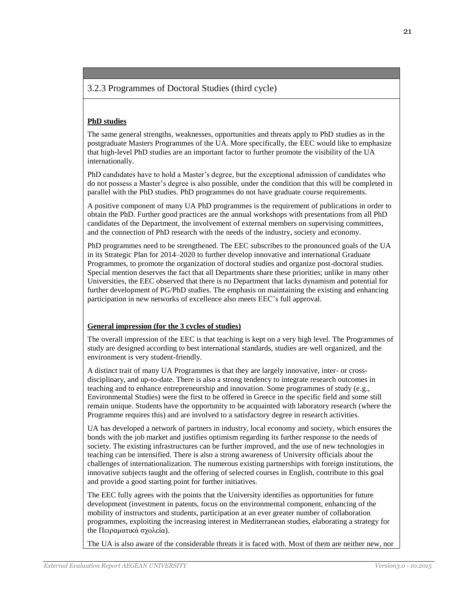### 3.2.3 Programmes of Doctoral Studies (third cycle)

### **PhD studies**

The same general strengths, weaknesses, opportunities and threats apply to PhD studies as in the postgraduate Masters Programmes of the UA. More specifically, the EEC would like to emphasize that high-level PhD studies are an important factor to further promote the visibility of the UA internationally.

PhD candidates have to hold a Master's degree, but the exceptional admission of candidates who do not possess a Master's degree is also possible, under the condition that this will be completed in parallel with the PhD studies. PhD programmes do not have graduate course requirements.

A positive component of many UA PhD programmes is the requirement of publications in order to obtain the PhD. Further good practices are the annual workshops with presentations from all PhD candidates of the Department, the involvement of external members on supervising committees, and the connection of PhD research with the needs of the industry, society and economy.

PhD programmes need to be strengthened. The EEC subscribes to the pronounced goals of the UA in its Strategic Plan for 2014–2020 to further develop innovative and international Graduate Programmes, to promote the organization of doctoral studies and organize post-doctoral studies. Special mention deserves the fact that all Departments share these priorities; unlike in many other Universities, the EEC observed that there is no Department that lacks dynamism and potential for further development of PG/PhD studies. The emphasis on maintaining the existing and enhancing participation in new networks of excellence also meets EEC's full approval.

#### **General impression (for the 3 cycles of studies)**

The overall impression of the EEC is that teaching is kept on a very high level. The Programmes of study are designed according to best international standards, studies are well organized, and the environment is very student-friendly.

A distinct trait of many UA Programmes is that they are largely innovative, inter- or crossdisciplinary, and up-to-date. There is also a strong tendency to integrate research outcomes in teaching and to enhance entrepreneurship and innovation. Some programmes of study (e.g., Environmental Studies) were the first to be offered in Greece in the specific field and some still remain unique. Students have the opportunity to be acquainted with laboratory research (where the Programme requires this) and are involved to a satisfactory degree in research activities.

UA has developed a network of partners in industry, local economy and society, which ensures the bonds with the job market and justifies optimism regarding its further response to the needs of society. The existing infrastructures can be further improved, and the use of new technologies in teaching can be intensified. There is also a strong awareness of University officials about the challenges of internationalization. The numerous existing partnerships with foreign institutions, the innovative subjects taught and the offering of selected courses in English, contribute to this goal and provide a good starting point for further initiatives.

The EEC fully agrees with the points that the University identifies as opportunities for future development (investment in patents, focus on the environmental component, enhancing of the mobility of instructors and students, participation at an ever greater number of collaboration programmes, exploiting the increasing interest in Mediterranean studies, elaborating a strategy for the Πειραματικά σχολεία).

The UA is also aware of the considerable threats it is faced with. Most of them are neither new, nor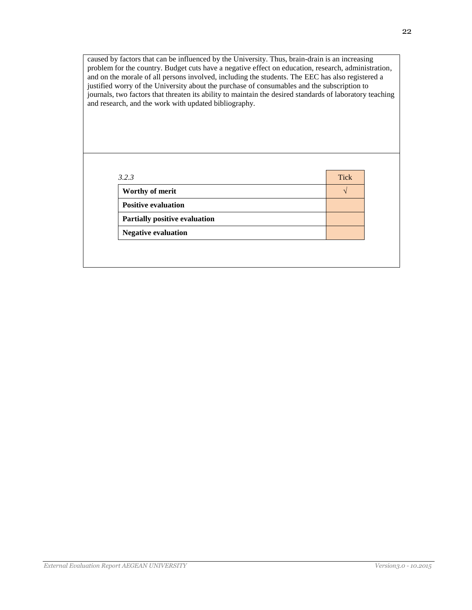caused by factors that can be influenced by the University. Thus, brain-drain is an increasing problem for the country. Budget cuts have a negative effect on education, research, administration, and on the morale of all persons involved, including the students. The EEC has also registered a justified worry of the University about the purchase of consumables and the subscription to journals, two factors that threaten its ability to maintain the desired standards of laboratory teaching and research, and the work with updated bibliography.

| Worthy of merit                      |  |
|--------------------------------------|--|
| <b>Positive evaluation</b>           |  |
| <b>Partially positive evaluation</b> |  |
| <b>Negative evaluation</b>           |  |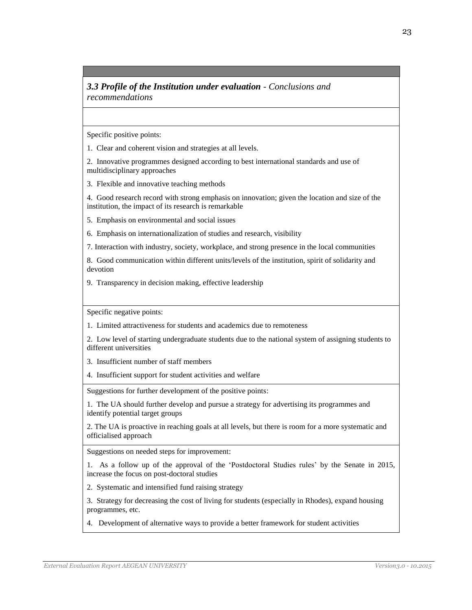### *3.3 Profile of the Institution under evaluation - Conclusions and recommendations*

Specific positive points:

1. Clear and coherent vision and strategies at all levels.

2. Innovative programmes designed according to best international standards and use of multidisciplinary approaches

3. Flexible and innovative teaching methods

4. Good research record with strong emphasis on innovation; given the location and size of the institution, the impact of its research is remarkable

5. Emphasis on environmental and social issues

6. Emphasis on internationalization of studies and research, visibility

7. Interaction with industry, society, workplace, and strong presence in the local communities

8. Good communication within different units/levels of the institution, spirit of solidarity and devotion

9. Transparency in decision making, effective leadership

Specific negative points:

1. Limited attractiveness for students and academics due to remoteness

2. Low level of starting undergraduate students due to the national system of assigning students to different universities

3. Insufficient number of staff members

4. Insufficient support for student activities and welfare

Suggestions for further development of the positive points:

1. The UA should further develop and pursue a strategy for advertising its programmes and identify potential target groups

2. The UA is proactive in reaching goals at all levels, but there is room for a more systematic and officialised approach

Suggestions on needed steps for improvement:

1. As a follow up of the approval of the 'Postdoctoral Studies rules' by the Senate in 2015, increase the focus on post-doctoral studies

2. Systematic and intensified fund raising strategy

3. Strategy for decreasing the cost of living for students (especially in Rhodes), expand housing programmes, etc.

4. Development of alternative ways to provide a better framework for student activities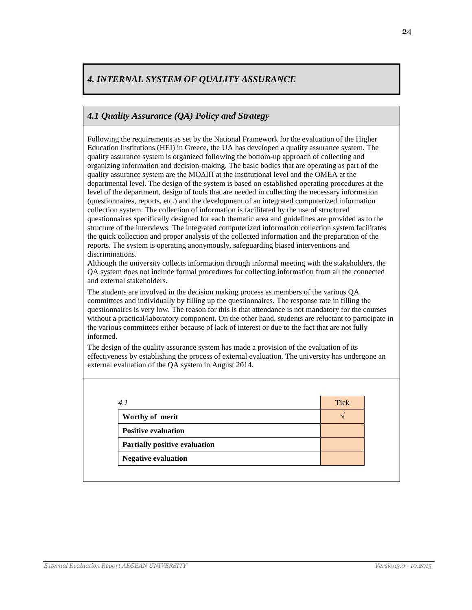# *4. INTERNAL SYSTEM OF QUALITY ASSURANCE*

# *4.1 Quality Assurance (QA) Policy and Strategy*

Following the requirements as set by the National Framework for the evaluation of the Higher Education Institutions (HEI) in Greece, the UA has developed a quality assurance system. The quality assurance system is organized following the bottom-up approach of collecting and organizing information and decision-making. The basic bodies that are operating as part of the quality assurance system are the ΜΟΔΙΠ at the institutional level and the OMEA at the departmental level. The design of the system is based on established operating procedures at the level of the department, design of tools that are needed in collecting the necessary information (questionnaires, reports, etc.) and the development of an integrated computerized information collection system. The collection of information is facilitated by the use of structured questionnaires specifically designed for each thematic area and guidelines are provided as to the structure of the interviews. The integrated computerized information collection system facilitates the quick collection and proper analysis of the collected information and the preparation of the reports. The system is operating anonymously, safeguarding biased interventions and discriminations.

Although the university collects information through informal meeting with the stakeholders, the QA system does not include formal procedures for collecting information from all the connected and external stakeholders.

The students are involved in the decision making process as members of the various QA committees and individually by filling up the questionnaires. The response rate in filling the questionnaires is very low. The reason for this is that attendance is not mandatory for the courses without a practical/laboratory component. On the other hand, students are reluctant to participate in the various committees either because of lack of interest or due to the fact that are not fully informed.

The design of the quality assurance system has made a provision of the evaluation of its effectiveness by establishing the process of external evaluation. The university has undergone an external evaluation of the QA system in August 2014.

| 4.1                                  | <b>Tick</b> |
|--------------------------------------|-------------|
| Worthy of merit                      |             |
| <b>Positive evaluation</b>           |             |
| <b>Partially positive evaluation</b> |             |
| <b>Negative evaluation</b>           |             |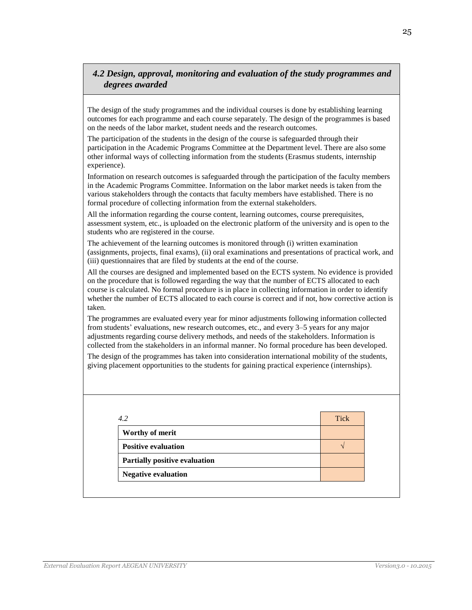# *4.2 Design, approval, monitoring and evaluation of the study programmes and degrees awarded*

The design of the study programmes and the individual courses is done by establishing learning outcomes for each programme and each course separately. The design of the programmes is based on the needs of the labor market, student needs and the research outcomes.

The participation of the students in the design of the course is safeguarded through their participation in the Academic Programs Committee at the Department level. There are also some other informal ways of collecting information from the students (Erasmus students, internship experience).

Information on research outcomes is safeguarded through the participation of the faculty members in the Academic Programs Committee. Information on the labor market needs is taken from the various stakeholders through the contacts that faculty members have established. There is no formal procedure of collecting information from the external stakeholders.

All the information regarding the course content, learning outcomes, course prerequisites, assessment system, etc., is uploaded on the electronic platform of the university and is open to the students who are registered in the course.

The achievement of the learning outcomes is monitored through (i) written examination (assignments, projects, final exams), (ii) oral examinations and presentations of practical work, and (iii) questionnaires that are filed by students at the end of the course.

All the courses are designed and implemented based on the ECTS system. No evidence is provided on the procedure that is followed regarding the way that the number of ECTS allocated to each course is calculated. No formal procedure is in place in collecting information in order to identify whether the number of ECTS allocated to each course is correct and if not, how corrective action is taken.

The programmes are evaluated every year for minor adjustments following information collected from students' evaluations, new research outcomes, etc., and every 3–5 years for any major adjustments regarding course delivery methods, and needs of the stakeholders. Information is collected from the stakeholders in an informal manner. No formal procedure has been developed.

The design of the programmes has taken into consideration international mobility of the students, giving placement opportunities to the students for gaining practical experience (internships).

| 4.2                                  | <b>Tick</b> |
|--------------------------------------|-------------|
| Worthy of merit                      |             |
| <b>Positive evaluation</b>           |             |
| <b>Partially positive evaluation</b> |             |
| <b>Negative evaluation</b>           |             |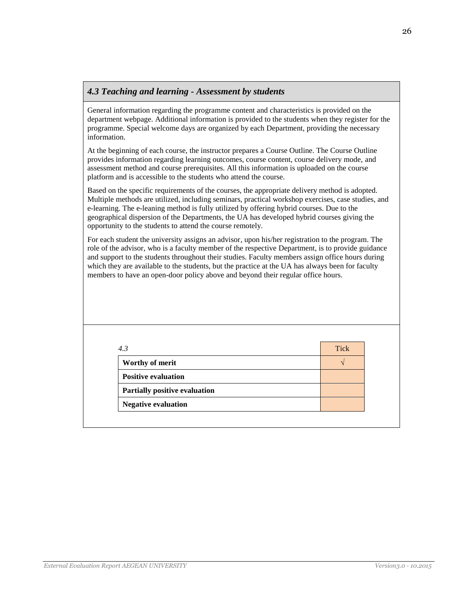### *4.3 Teaching and learning - Assessment by students*

General information regarding the programme content and characteristics is provided on the department webpage. Additional information is provided to the students when they register for the programme. Special welcome days are organized by each Department, providing the necessary information.

At the beginning of each course, the instructor prepares a Course Outline. The Course Outline provides information regarding learning outcomes, course content, course delivery mode, and assessment method and course prerequisites. All this information is uploaded on the course platform and is accessible to the students who attend the course.

Based on the specific requirements of the courses, the appropriate delivery method is adopted. Multiple methods are utilized, including seminars, practical workshop exercises, case studies, and e-learning. The e-leaning method is fully utilized by offering hybrid courses. Due to the geographical dispersion of the Departments, the UA has developed hybrid courses giving the opportunity to the students to attend the course remotely.

For each student the university assigns an advisor, upon his/her registration to the program. The role of the advisor, who is a faculty member of the respective Department, is to provide guidance and support to the students throughout their studies. Faculty members assign office hours during which they are available to the students, but the practice at the UA has always been for faculty members to have an open-door policy above and beyond their regular office hours.

| 4.3                           | Tick          |
|-------------------------------|---------------|
| Worthy of merit               | $\mathcal{L}$ |
| <b>Positive evaluation</b>    |               |
| Partially positive evaluation |               |
| <b>Negative evaluation</b>    |               |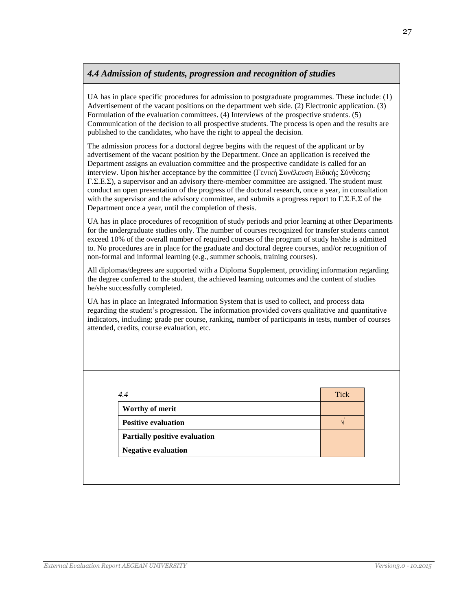# *4.4 Admission of students, progression and recognition of studies*

UA has in place specific procedures for admission to postgraduate programmes. These include: (1) Advertisement of the vacant positions on the department web side. (2) Electronic application. (3) Formulation of the evaluation committees. (4) Interviews of the prospective students. (5) Communication of the decision to all prospective students. The process is open and the results are published to the candidates, who have the right to appeal the decision.

The admission process for a doctoral degree begins with the request of the applicant or by advertisement of the vacant position by the Department. Once an application is received the Department assigns an evaluation committee and the prospective candidate is called for an interview. Upon his/her acceptance by the committee (Γενική Συνέλευση Ειδικής Σύνθεσης Γ.Σ.Ε.Σ), a supervisor and an advisory there-member committee are assigned. The student must conduct an open presentation of the progress of the doctoral research, once a year, in consultation with the supervisor and the advisory committee, and submits a progress report to  $\Gamma$ .Σ.Ε.Σ of the Department once a year, until the completion of thesis.

UA has in place procedures of recognition of study periods and prior learning at other Departments for the undergraduate studies only. The number of courses recognized for transfer students cannot exceed 10% of the overall number of required courses of the program of study he/she is admitted to. No procedures are in place for the graduate and doctoral degree courses, and/or recognition of non-formal and informal learning (e.g., summer schools, training courses).

All diplomas/degrees are supported with a Diploma Supplement, providing information regarding the degree conferred to the student, the achieved learning outcomes and the content of studies he/she successfully completed.

UA has in place an Integrated Information System that is used to collect, and process data regarding the student's progression. The information provided covers qualitative and quantitative indicators, including: grade per course, ranking, number of participants in tests, number of courses attended, credits, course evaluation, etc.

| 4.4                                  | <b>Tick</b> |
|--------------------------------------|-------------|
| Worthy of merit                      |             |
| <b>Positive evaluation</b>           |             |
| <b>Partially positive evaluation</b> |             |
| <b>Negative evaluation</b>           |             |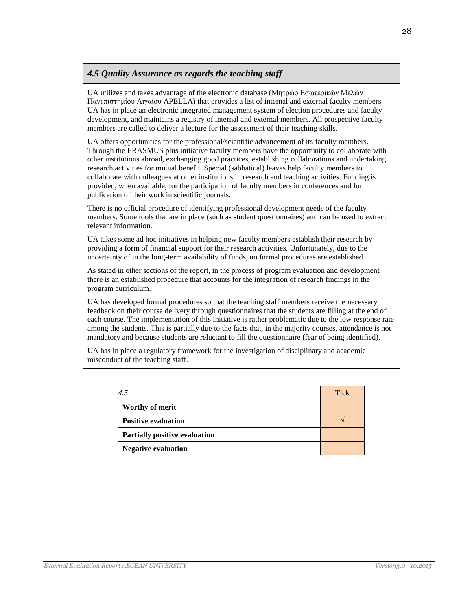# *4.5 Quality Assurance as regards the teaching staff*

UA utilizes and takes advantage of the electronic database (Μητρώο Εσωτερικών Μελών Πανεπιστημίου Αιγαίου APELLA) that provides a list of internal and external faculty members. UA has in place an electronic integrated management system of election procedures and faculty development, and maintains a registry of internal and external members. All prospective faculty members are called to deliver a lecture for the assessment of their teaching skills.

UA offers opportunities for the professional/scientific advancement of its faculty members. Through the ERASMUS plus initiative faculty members have the opportunity to collaborate with other institutions abroad, exchanging good practices, establishing collaborations and undertaking research activities for mutual benefit. Special (sabbatical) leaves help faculty members to collaborate with colleagues at other institutions in research and teaching activities. Funding is provided, when available, for the participation of faculty members in conferences and for publication of their work in scientific journals.

There is no official procedure of identifying professional development needs of the faculty members. Some tools that are in place (such as student questionnaires) and can be used to extract relevant information.

UA takes some ad hoc initiatives in helping new faculty members establish their research by providing a form of financial support for their research activities. Unfortunately, due to the uncertainty of in the long-term availability of funds, no formal procedures are established

As stated in other sections of the report, in the process of program evaluation and development there is an established procedure that accounts for the integration of research findings in the program curriculum.

UA has developed formal procedures so that the teaching staff members receive the necessary feedback on their course delivery through questionnaires that the students are filling at the end of each course. The implementation of this initiative is rather problematic due to the low response rate among the students. This is partially due to the facts that, in the majority courses, attendance is not mandatory and because students are reluctant to fill the questionnaire (fear of being identified).

UA has in place a regulatory framework for the investigation of disciplinary and academic misconduct of the teaching staff.

| 4.5                                  | <b>Tick</b> |
|--------------------------------------|-------------|
| Worthy of merit                      |             |
| <b>Positive evaluation</b>           |             |
| <b>Partially positive evaluation</b> |             |
| <b>Negative evaluation</b>           |             |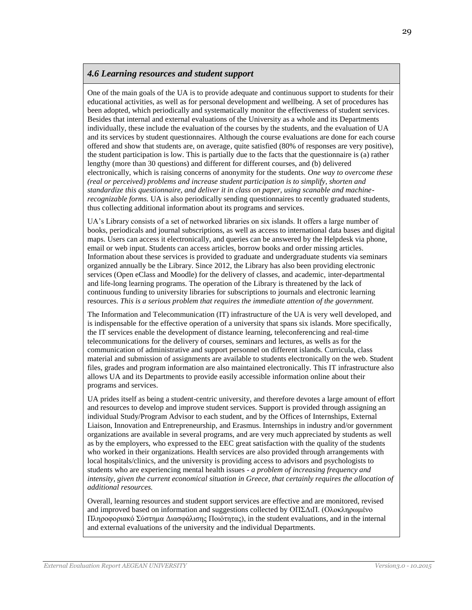### *4.6 Learning resources and student support*

One of the main goals of the UA is to provide adequate and continuous support to students for their educational activities, as well as for personal development and wellbeing. A set of procedures has been adopted, which periodically and systematically monitor the effectiveness of student services. Besides that internal and external evaluations of the University as a whole and its Departments individually, these include the evaluation of the courses by the students, and the evaluation of UA and its services by student questionnaires. Although the course evaluations are done for each course offered and show that students are, on average, quite satisfied (80% of responses are very positive), the student participation is low. This is partially due to the facts that the questionnaire is (a) rather lengthy (more than 30 questions) and different for different courses, and (b) delivered electronically, which is raising concerns of anonymity for the students. *One way to overcome these (real or perceived) problems and increase student participation is to simplify, shorten and standardize this questionnaire, and deliver it in class on paper, using scanable and machinerecognizable forms.* UA is also periodically sending questionnaires to recently graduated students, thus collecting additional information about its programs and services.

UA's Library consists of a set of networked libraries on six islands. It offers a large number of books, periodicals and journal subscriptions, as well as access to international data bases and digital maps. Users can access it electronically, and queries can be answered by the Helpdesk via phone, email or web input. Students can access articles, borrow books and order missing articles. Information about these services is provided to graduate and undergraduate students via seminars organized annually be the Library. Since 2012, the Library has also been providing electronic services (Open eClass and Moodle) for the delivery of classes, and academic, inter-departmental and life-long learning programs. The operation of the Library is threatened by the lack of continuous funding to university libraries for subscriptions to journals and electronic learning resources. *This is a serious problem that requires the immediate attention of the government.*

The Information and Telecommunication (IT) infrastructure of the UA is very well developed, and is indispensable for the effective operation of a university that spans six islands. More specifically, the IT services enable the development of distance learning, teleconferencing and real-time telecommunications for the delivery of courses, seminars and lectures, as wells as for the communication of administrative and support personnel on different islands. Curricula, class material and submission of assignments are available to students electronically on the web. Student files, grades and program information are also maintained electronically. This IT infrastructure also allows UA and its Departments to provide easily accessible information online about their programs and services.

UA prides itself as being a student-centric university, and therefore devotes a large amount of effort and resources to develop and improve student services. Support is provided through assigning an individual Study/Program Advisor to each student, and by the Offices of Internships, External Liaison, Innovation and Entrepreneurship, and Erasmus. Internships in industry and/or government organizations are available in several programs, and are very much appreciated by students as well as by the employers, who expressed to the EEC great satisfaction with the quality of the students who worked in their organizations. Health services are also provided through arrangements with local hospitals/clinics, and the university is providing access to advisors and psychologists to students who are experiencing mental health issues - *a problem of increasing frequency and intensity, given the current economical situation in Greece, that certainly requires the allocation of additional resources.*

Overall, learning resources and student support services are effective and are monitored, revised and improved based on information and suggestions collected by ΟΠΣΔιΠ. (Ολοκληρωμένο Πληροφοριακό Σύστημα Διασφάλισης Ποιότητας), in the student evaluations, and in the internal and external evaluations of the university and the individual Departments.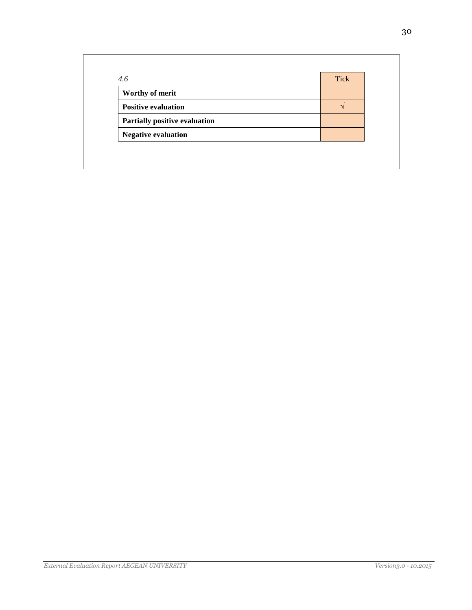| 4.6                           | <b>Tick</b> |
|-------------------------------|-------------|
| Worthy of merit               |             |
| <b>Positive evaluation</b>    |             |
| Partially positive evaluation |             |
| <b>Negative evaluation</b>    |             |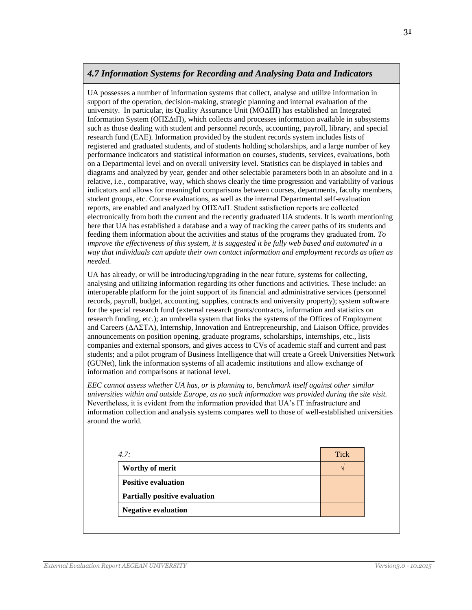### *4.7 Information Systems for Recording and Analysing Data and Indicators*

UA possesses a number of information systems that collect, analyse and utilize information in support of the operation, decision-making, strategic planning and internal evaluation of the university. In particular, its Quality Assurance Unit (ΜΟΔΙΠ) has established an Integrated Information System (ΟΠΣΔιΠ), which collects and processes information available in subsystems such as those dealing with student and personnel records, accounting, payroll, library, and special research fund (ΕΛΕ). Information provided by the student records system includes lists of registered and graduated students, and of students holding scholarships, and a large number of key performance indicators and statistical information on courses, students, services, evaluations, both on a Departmental level and on overall university level. Statistics can be displayed in tables and diagrams and analyzed by year, gender and other selectable parameters both in an absolute and in a relative, i.e., comparative, way, which shows clearly the time progression and variability of various indicators and allows for meaningful comparisons between courses, departments, faculty members, student groups, etc. Course evaluations, as well as the internal Departmental self-evaluation reports, are enabled and analyzed by ΟΠΣΔιΠ. Student satisfaction reports are collected electronically from both the current and the recently graduated UA students. It is worth mentioning here that UA has established a database and a way of tracking the career paths of its students and feeding them information about the activities and status of the programs they graduated from. *To improve the effectiveness of this system, it is suggested it be fully web based and automated in a way that individuals can update their own contact information and employment records as often as needed.*

UA has already, or will be introducing/upgrading in the near future, systems for collecting, analysing and utilizing information regarding its other functions and activities. These include: an interoperable platform for the joint support of its financial and administrative services (personnel records, payroll, budget, accounting, supplies, contracts and university property); system software for the special research fund (external research grants/contracts, information and statistics on research funding, etc.); an umbrella system that links the systems of the Offices of Employment and Careers (ΔΑΣΤΑ), Internship, Innovation and Entrepreneurship, and Liaison Office, provides announcements on position opening, graduate programs, scholarships, internships, etc., lists companies and external sponsors, and gives access to CVs of academic staff and current and past students; and a pilot program of Business Intelligence that will create a Greek Universities Network (GUNet), link the information systems of all academic institutions and allow exchange of information and comparisons at national level.

*EEC cannot assess whether UA has, or is planning to, benchmark itself against other similar universities within and outside Europe, as no such information was provided during the site visit.* Nevertheless, it is evident from the information provided that UA's IT infrastructure and information collection and analysis systems compares well to those of well-established universities around the world.

| 4.7:                                 | <b>Tick</b> |
|--------------------------------------|-------------|
| Worthy of merit                      |             |
| <b>Positive evaluation</b>           |             |
| <b>Partially positive evaluation</b> |             |
| <b>Negative evaluation</b>           |             |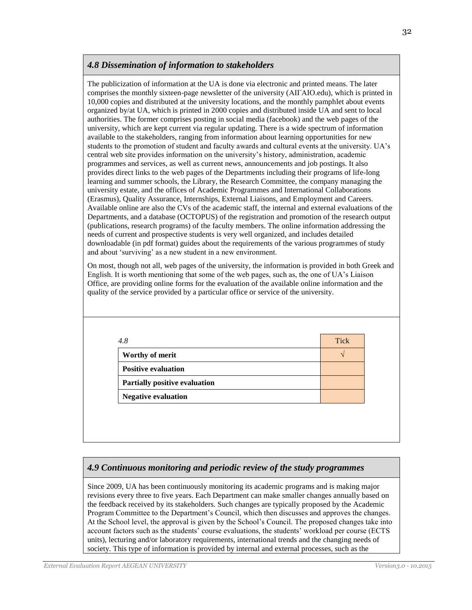# *4.8 Dissemination of information to stakeholders*

The publicization of information at the UA is done via electronic and printed means. The later comprises the monthly sixteen-page newsletter of the university (ΑΙΓΑΙΟ.edu), which is printed in 10,000 copies and distributed at the university locations, and the monthly pamphlet about events organized by/at UA, which is printed in 2000 copies and distributed inside UA and sent to local authorities. The former comprises posting in social media (facebook) and the web pages of the university, which are kept current via regular updating. There is a wide spectrum of information available to the stakeholders, ranging from information about learning opportunities for new students to the promotion of student and faculty awards and cultural events at the university. UA's central web site provides information on the university's history, administration, academic programmes and services, as well as current news, announcements and job postings. It also provides direct links to the web pages of the Departments including their programs of life-long learning and summer schools, the Library, the Research Committee, the company managing the university estate, and the offices of Academic Programmes and International Collaborations (Erasmus), Quality Assurance, Internships, External Liaisons, and Employment and Careers. Available online are also the CVs of the academic staff, the internal and external evaluations of the Departments, and a database (OCTOPUS) of the registration and promotion of the research output (publications, research programs) of the faculty members. The online information addressing the needs of current and prospective students is very well organized, and includes detailed downloadable (in pdf format) guides about the requirements of the various programmes of study and about 'surviving' as a new student in a new environment.

On most, though not all, web pages of the university, the information is provided in both Greek and English. It is worth mentioning that some of the web pages, such as, the one of UA's Liaison Office, are providing online forms for the evaluation of the available online information and the quality of the service provided by a particular office or service of the university.

| 4.8                                  | <b>Tick</b> |
|--------------------------------------|-------------|
| Worthy of merit                      |             |
| <b>Positive evaluation</b>           |             |
| <b>Partially positive evaluation</b> |             |
| <b>Negative evaluation</b>           |             |

# *4.9 Continuous monitoring and periodic review of the study programmes*

Since 2009, UA has been continuously monitoring its academic programs and is making major revisions every three to five years. Each Department can make smaller changes annually based on the feedback received by its stakeholders. Such changes are typically proposed by the Academic Program Committee to the Department's Council, which then discusses and approves the changes. At the School level, the approval is given by the School's Council. The proposed changes take into account factors such as the students' course evaluations, the students' workload per course (ECTS units), lecturing and/or laboratory requirements, international trends and the changing needs of society. This type of information is provided by internal and external processes, such as the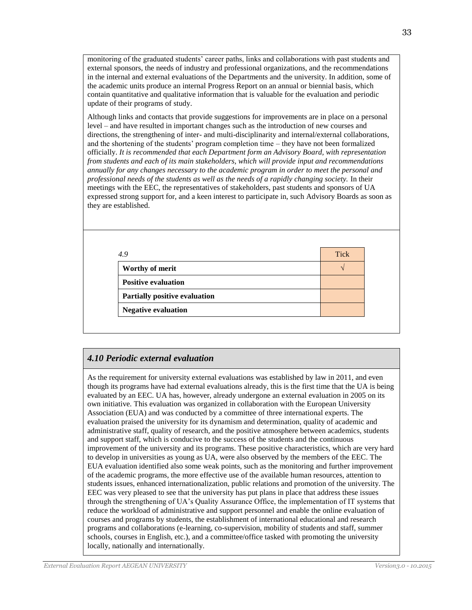monitoring of the graduated students' career paths, links and collaborations with past students and external sponsors, the needs of industry and professional organizations, and the recommendations in the internal and external evaluations of the Departments and the university. In addition, some of the academic units produce an internal Progress Report on an annual or biennial basis, which contain quantitative and qualitative information that is valuable for the evaluation and periodic update of their programs of study.

Although links and contacts that provide suggestions for improvements are in place on a personal level – and have resulted in important changes such as the introduction of new courses and directions, the strengthening of inter- and multi-disciplinarity and internal/external collaborations, and the shortening of the students' program completion time – they have not been formalized officially. *It is recommended that each Department form an Advisory Board, with representation from students and each of its main stakeholders, which will provide input and recommendations annually for any changes necessary to the academic program in order to meet the personal and professional needs of the students as well as the needs of a rapidly changing society.* In their meetings with the EEC, the representatives of stakeholders, past students and sponsors of UA expressed strong support for, and a keen interest to participate in, such Advisory Boards as soon as they are established.

| 4.9                           | <b>Tick</b> |
|-------------------------------|-------------|
| Worthy of merit               |             |
| <b>Positive evaluation</b>    |             |
| Partially positive evaluation |             |
| <b>Negative evaluation</b>    |             |

# *4.10 Periodic external evaluation*

As the requirement for university external evaluations was established by law in 2011, and even though its programs have had external evaluations already, this is the first time that the UA is being evaluated by an EEC. UA has, however, already undergone an external evaluation in 2005 on its own initiative. This evaluation was organized in collaboration with the European University Association (EUA) and was conducted by a committee of three international experts. The evaluation praised the university for its dynamism and determination, quality of academic and administrative staff, quality of research, and the positive atmosphere between academics, students and support staff, which is conducive to the success of the students and the continuous improvement of the university and its programs. These positive characteristics, which are very hard to develop in universities as young as UA, were also observed by the members of the EEC. The EUA evaluation identified also some weak points, such as the monitoring and further improvement of the academic programs, the more effective use of the available human resources, attention to students issues, enhanced internationalization, public relations and promotion of the university. The EEC was very pleased to see that the university has put plans in place that address these issues through the strengthening of UA's Quality Assurance Office, the implementation of IT systems that reduce the workload of administrative and support personnel and enable the online evaluation of courses and programs by students, the establishment of international educational and research programs and collaborations (e-learning, co-supervision, mobility of students and staff, summer schools, courses in English, etc.), and a committee/office tasked with promoting the university locally, nationally and internationally.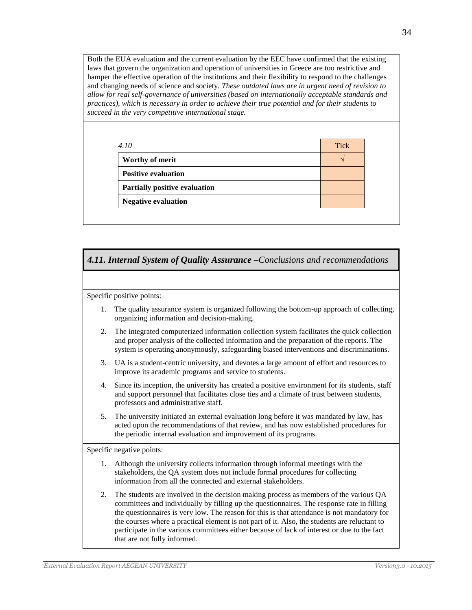Both the EUA evaluation and the current evaluation by the EEC have confirmed that the existing laws that govern the organization and operation of universities in Greece are too restrictive and hamper the effective operation of the institutions and their flexibility to respond to the challenges and changing needs of science and society. *These outdated laws are in urgent need of revision to allow for real self-governance of universities (based on internationally acceptable standards and practices), which is necessary in order to achieve their true potential and for their students to succeed in the very competitive international stage.*

| 4.10                                 | <b>Tick</b> |
|--------------------------------------|-------------|
| Worthy of merit                      |             |
| <b>Positive evaluation</b>           |             |
| <b>Partially positive evaluation</b> |             |
| <b>Negative evaluation</b>           |             |



acted upon the recommendations of that review, and has now established procedures for the periodic internal evaluation and improvement of its programs.

Specific negative points:

- 1. Although the university collects information through informal meetings with the stakeholders, the QA system does not include formal procedures for collecting information from all the connected and external stakeholders.
- 2. The students are involved in the decision making process as members of the various QA committees and individually by filling up the questionnaires. The response rate in filling the questionnaires is very low. The reason for this is that attendance is not mandatory for the courses where a practical element is not part of it. Also, the students are reluctant to participate in the various committees either because of lack of interest or due to the fact that are not fully informed.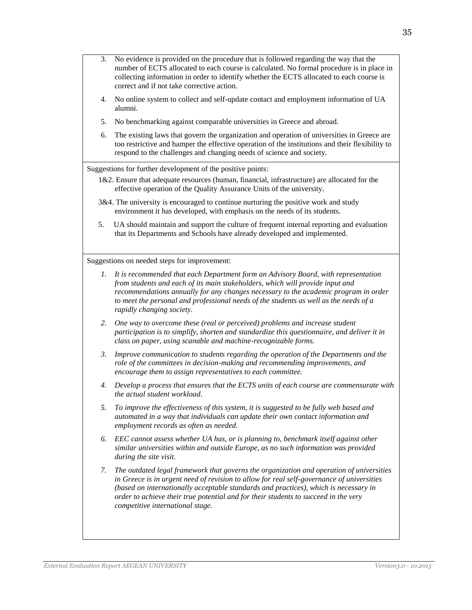- 3. No evidence is provided on the procedure that is followed regarding the way that the number of ECTS allocated to each course is calculated. No formal procedure is in place in collecting information in order to identify whether the ECTS allocated to each course is correct and if not take corrective action.
- 4. No online system to collect and self-update contact and employment information of UA alumni.
- 5. No benchmarking against comparable universities in Greece and abroad.
- 6. The existing laws that govern the organization and operation of universities in Greece are too restrictive and hamper the effective operation of the institutions and their flexibility to respond to the challenges and changing needs of science and society.

Suggestions for further development of the positive points:

- 1&2. Ensure that adequate resources (human, financial, infrastructure) are allocated for the effective operation of the Quality Assurance Units of the university.
- 3&4. The university is encouraged to continue nurturing the positive work and study environment it has developed, with emphasis on the needs of its students.
- 5. UA should maintain and support the culture of frequent internal reporting and evaluation that its Departments and Schools have already developed and implemented.

Suggestions on needed steps for improvement:

- *1. It is recommended that each Department form an Advisory Board, with representation from students and each of its main stakeholders, which will provide input and recommendations annually for any changes necessary to the academic program in order to meet the personal and professional needs of the students as well as the needs of a rapidly changing society.*
- *2. One way to overcome these (real or perceived) problems and increase student participation is to simplify, shorten and standardize this questionnaire, and deliver it in class on paper, using scanable and machine-recognizable forms.*
- *3. Improve communication to students regarding the operation of the Departments and the role of the committees in decision-making and recommending improvements, and encourage them to assign representatives to each committee.*
- *4. Develop a process that ensures that the ECTS units of each course are commensurate with the actual student workload.*
- *5. To improve the effectiveness of this system, it is suggested to be fully web based and automated in a way that individuals can update their own contact information and employment records as often as needed.*
- *6. EEC cannot assess whether UA has, or is planning to, benchmark itself against other similar universities within and outside Europe, as no such information was provided during the site visit.*
- *7. The outdated legal framework that governs the organization and operation of universities in Greece is in urgent need of revision to allow for real self-governance of universities (based on internationally acceptable standards and practices), which is necessary in order to achieve their true potential and for their students to succeed in the very competitive international stage.*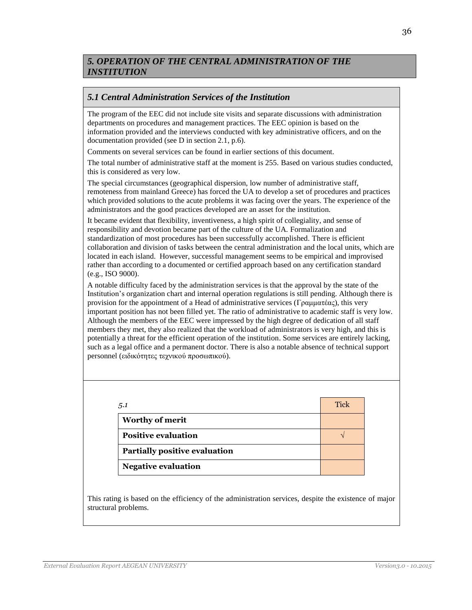# *5. OPERATION OF THE CENTRAL ADMINISTRATION OF THE INSTITUTION*

### *5.1 Central Administration Services of the Institution*

The program of the EEC did not include site visits and separate discussions with administration departments on procedures and management practices. The EEC opinion is based on the information provided and the interviews conducted with key administrative officers, and on the documentation provided (see D in section 2.1, p.6).

Comments on several services can be found in earlier sections of this document.

The total number of administrative staff at the moment is 255. Based on various studies conducted, this is considered as very low.

The special circumstances (geographical dispersion, low number of administrative staff, remoteness from mainland Greece) has forced the UA to develop a set of procedures and practices which provided solutions to the acute problems it was facing over the years. The experience of the administrators and the good practices developed are an asset for the institution.

It became evident that flexibility, inventiveness, a high spirit of collegiality, and sense of responsibility and devotion became part of the culture of the UA. Formalization and standardization of most procedures has been successfully accomplished. There is efficient collaboration and division of tasks between the central administration and the local units, which are located in each island. However, successful management seems to be empirical and improvised rather than according to a documented or certified approach based on any certification standard (e.g., ISO 9000).

A notable difficulty faced by the administration services is that the approval by the state of the Institution's organization chart and internal operation regulations is still pending. Although there is provision for the appointment of a Head of administrative services (Γραμματέας), this very important position has not been filled yet. The ratio of administrative to academic staff is very low. Although the members of the EEC were impressed by the high degree of dedication of all staff members they met, they also realized that the workload of administrators is very high, and this is potentially a threat for the efficient operation of the institution. Some services are entirely lacking, such as a legal office and a permanent doctor. There is also a notable absence of technical support personnel (ειδικότητες τεχνικού προσωπικού).

| 5.1                                  | <b>Tick</b> |
|--------------------------------------|-------------|
| <b>Worthy of merit</b>               |             |
| <b>Positive evaluation</b>           |             |
| <b>Partially positive evaluation</b> |             |
| <b>Negative evaluation</b>           |             |

This rating is based on the efficiency of the administration services, despite the existence of major structural problems.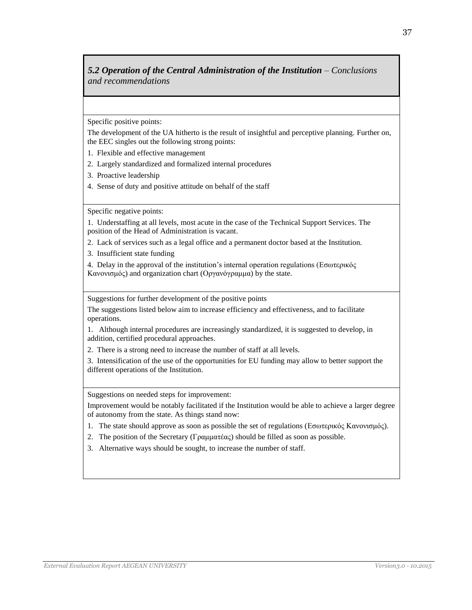# **5.2 Operation of the Central Administration of the Institution – Conclusions** *and recommendations*

Specific positive points:

The development of the UA hitherto is the result of insightful and perceptive planning. Further on, the EEC singles out the following strong points:

- 1. Flexible and effective management
- 2. Largely standardized and formalized internal procedures
- 3. Proactive leadership
- 4. Sense of duty and positive attitude on behalf of the staff

Specific negative points:

1. Understaffing at all levels, most acute in the case of the Technical Support Services. The position of the Head of Administration is vacant.

- 2. Lack of services such as a legal office and a permanent doctor based at the Institution.
- 3. Insufficient state funding

4. Delay in the approval of the institution's internal operation regulations (Εσωτερικός Κανονισμός) and organization chart (Οργανόγραμμα) by the state.

Suggestions for further development of the positive points

The suggestions listed below aim to increase efficiency and effectiveness, and to facilitate operations.

1. Although internal procedures are increasingly standardized, it is suggested to develop, in addition, certified procedural approaches.

2. There is a strong need to increase the number of staff at all levels.

3. Intensification of the use of the opportunities for EU funding may allow to better support the different operations of the Institution.

Suggestions on needed steps for improvement:

Improvement would be notably facilitated if the Institution would be able to achieve a larger degree of autonomy from the state. As things stand now:

- 1. The state should approve as soon as possible the set of regulations (Εσωτερικός Κανονισμός).
- 2. The position of the Secretary (Γραμματέας) should be filled as soon as possible.
- 3. Alternative ways should be sought, to increase the number of staff.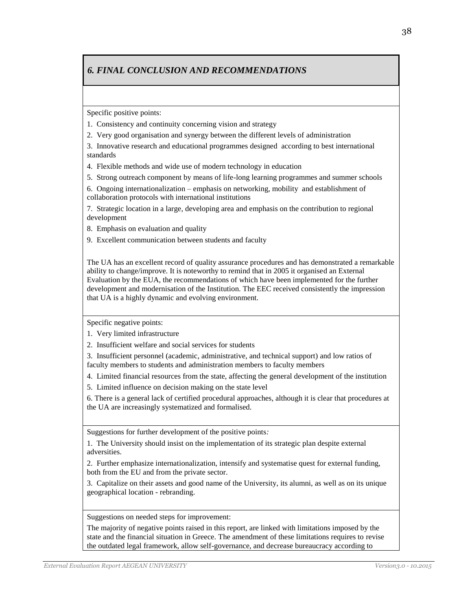# *6. FINAL CONCLUSION AND RECOMMENDATIONS*

Specific positive points:

1. Consistency and continuity concerning vision and strategy

2. Very good organisation and synergy between the different levels of administration

3. Innovative research and educational programmes designed according to best international standards

4. Flexible methods and wide use of modern technology in education

5. Strong outreach component by means of life-long learning programmes and summer schools

6. Ongoing internationalization – emphasis on networking, mobility and establishment of collaboration protocols with international institutions

7. Strategic location in a large, developing area and emphasis on the contribution to regional development

8. Emphasis on evaluation and quality

9. Excellent communication between students and faculty

The UA has an excellent record of quality assurance procedures and has demonstrated a remarkable ability to change/improve. It is noteworthy to remind that in 2005 it organised an External Evaluation by the EUA, the recommendations of which have been implemented for the further development and modernisation of the Institution. The EEC received consistently the impression that UA is a highly dynamic and evolving environment.

Specific negative points:

1. Very limited infrastructure

2. Insufficient welfare and social services for students

3. Insufficient personnel (academic, administrative, and technical support) and low ratios of faculty members to students and administration members to faculty members

4. Limited financial resources from the state, affecting the general development of the institution

5. Limited influence on decision making on the state level

6. There is a general lack of certified procedural approaches, although it is clear that procedures at the UA are increasingly systematized and formalised.

Suggestions for further development of the positive points*:*

1. The University should insist on the implementation of its strategic plan despite external adversities.

2. Further emphasize internationalization, intensify and systematise quest for external funding, both from the EU and from the private sector.

3. Capitalize on their assets and good name of the University, its alumni, as well as on its unique geographical location - rebranding.

Suggestions on needed steps for improvement:

The majority of negative points raised in this report, are linked with limitations imposed by the state and the financial situation in Greece. The amendment of these limitations requires to revise the outdated legal framework, allow self-governance, and decrease bureaucracy according to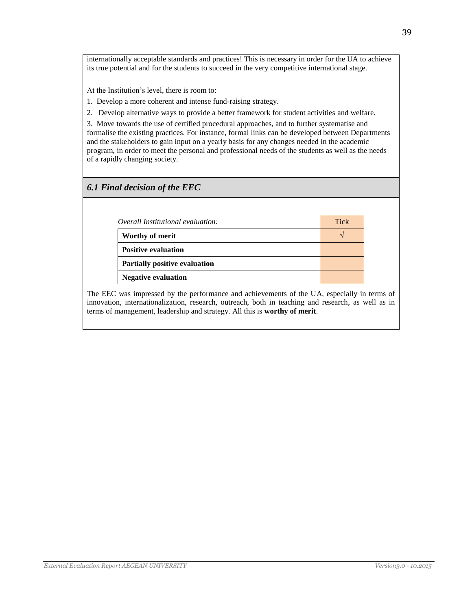internationally acceptable standards and practices! This is necessary in order for the UA to achieve its true potential and for the students to succeed in the very competitive international stage.

At the Institution's level, there is room to:

1. Develop a more coherent and intense fund-raising strategy.

2. Develop alternative ways to provide a better framework for student activities and welfare.

3. Move towards the use of certified procedural approaches, and to further systematise and formalise the existing practices. For instance, formal links can be developed between Departments and the stakeholders to gain input on a yearly basis for any changes needed in the academic program, in order to meet the personal and professional needs of the students as well as the needs of a rapidly changing society.

### *6.1 Final decision of the EEC*

| Overall Institutional evaluation:    | <b>Tick</b> |
|--------------------------------------|-------------|
| Worthy of merit                      |             |
| <b>Positive evaluation</b>           |             |
| <b>Partially positive evaluation</b> |             |
| <b>Negative evaluation</b>           |             |

The EEC was impressed by the performance and achievements of the UA, especially in terms of innovation, internationalization, research, outreach, both in teaching and research, as well as in terms of management, leadership and strategy. All this is **worthy of merit**.